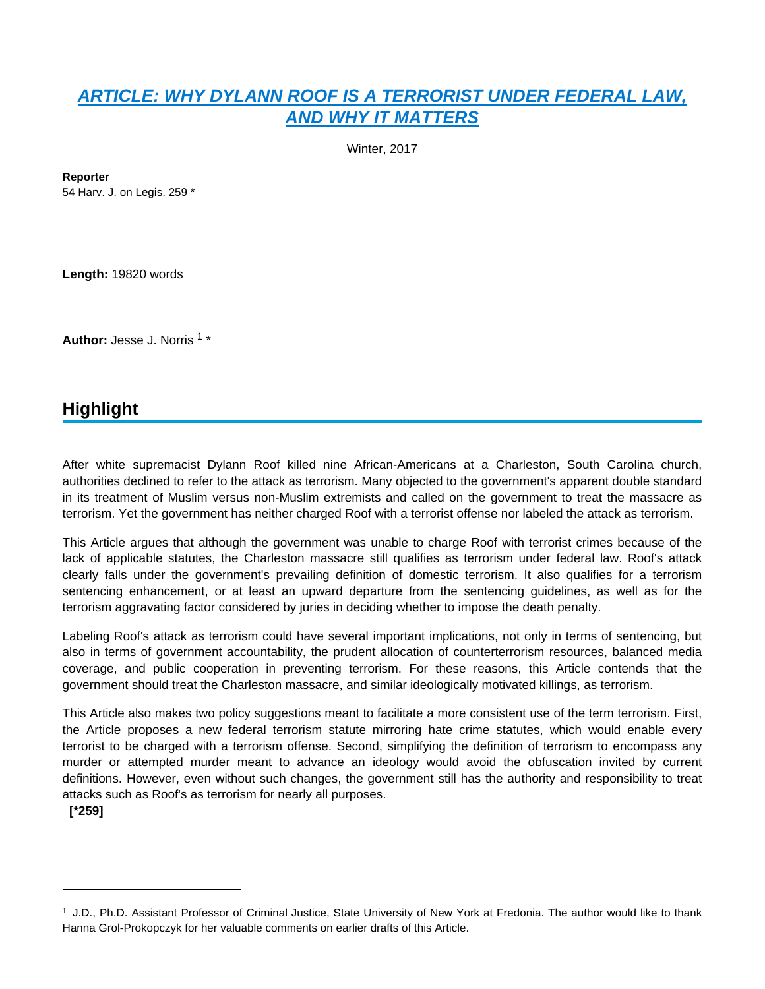# **[ARTICLE: WHY DYLANN ROOF IS A TERRORIST UNDER FEDERAL LAW,](https://advance.lexis.com/api/document?collection=analytical-materials&id=urn:contentItem:5NY8-GFT0-00CW-2266-00000-00&context=1000516)  [AND WHY IT MATTERS](https://advance.lexis.com/api/document?collection=analytical-materials&id=urn:contentItem:5NY8-GFT0-00CW-2266-00000-00&context=1000516)**

Winter, 2017

**Reporter**

54 Harv. J. on Legis. 259 \*

**Length:** 19820 words

**Author:** Jesse J. Norris <sup>1</sup> \*

# **Highlight**

After white supremacist Dylann Roof killed nine African-Americans at a Charleston, South Carolina church, authorities declined to refer to the attack as terrorism. Many objected to the government's apparent double standard in its treatment of Muslim versus non-Muslim extremists and called on the government to treat the massacre as terrorism. Yet the government has neither charged Roof with a terrorist offense nor labeled the attack as terrorism.

This Article argues that although the government was unable to charge Roof with terrorist crimes because of the lack of applicable statutes, the Charleston massacre still qualifies as terrorism under federal law. Roof's attack clearly falls under the government's prevailing definition of domestic terrorism. It also qualifies for a terrorism sentencing enhancement, or at least an upward departure from the sentencing guidelines, as well as for the terrorism aggravating factor considered by juries in deciding whether to impose the death penalty.

Labeling Roof's attack as terrorism could have several important implications, not only in terms of sentencing, but also in terms of government accountability, the prudent allocation of counterterrorism resources, balanced media coverage, and public cooperation in preventing terrorism. For these reasons, this Article contends that the government should treat the Charleston massacre, and similar ideologically motivated killings, as terrorism.

This Article also makes two policy suggestions meant to facilitate a more consistent use of the term terrorism. First, the Article proposes a new federal terrorism statute mirroring hate crime statutes, which would enable every terrorist to be charged with a terrorism offense. Second, simplifying the definition of terrorism to encompass any murder or attempted murder meant to advance an ideology would avoid the obfuscation invited by current definitions. However, even without such changes, the government still has the authority and responsibility to treat attacks such as Roof's as terrorism for nearly all purposes.

 **[\*259]** 

<sup>1</sup>J.D., Ph.D. Assistant Professor of Criminal Justice, State University of New York at Fredonia. The author would like to thank Hanna Grol-Prokopczyk for her valuable comments on earlier drafts of this Article.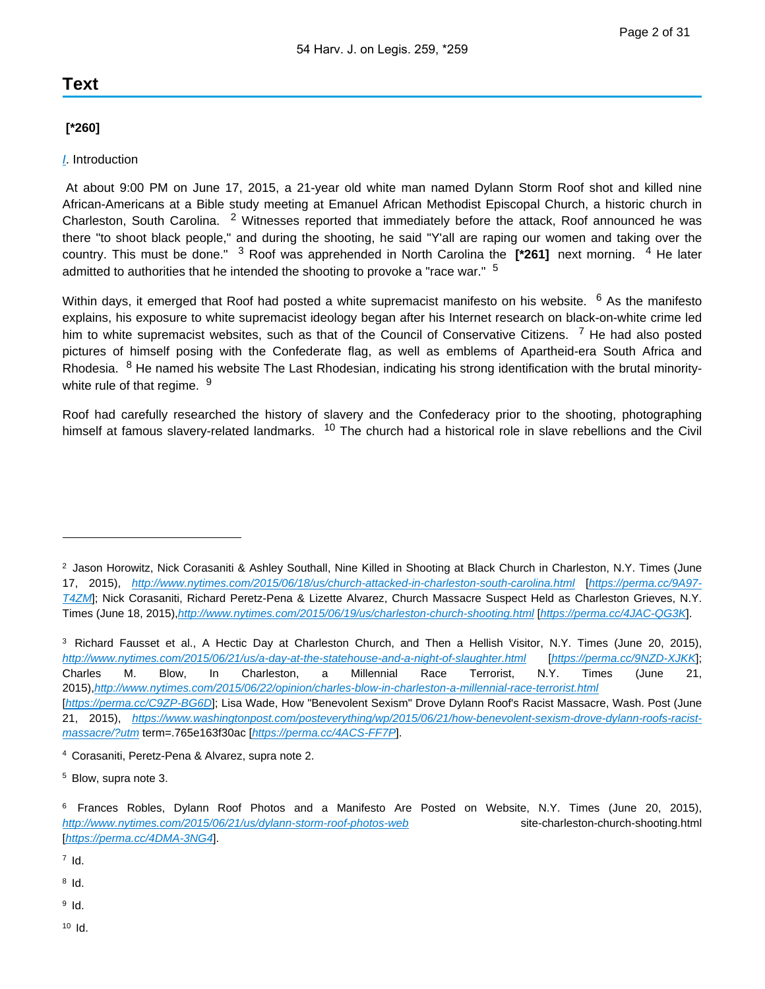# **Text**

# **[\*260]**

# *[I](https://advance.lexis.com/api/document?collection=statutes-legislation&id=urn:contentItem:8T9R-T2X2-D6RV-H374-00000-00&context=1000516).* Introduction

 At about 9:00 PM on June 17, 2015, a 21-year old white man named Dylann Storm Roof shot and killed nine African-Americans at a Bible study meeting at Emanuel African Methodist Episcopal Church, a historic church in Charleston, South Carolina. <sup>2</sup> Witnesses reported that immediately before the attack, Roof announced he was there "to shoot black people," and during the shooting, he said "Y'all are raping our women and taking over the country. This must be done." <sup>3</sup> Roof was apprehended in North Carolina the [\*261] next morning. <sup>4</sup> He later admitted to authorities that he intended the shooting to provoke a "race war." <sup>5</sup>

Within days, it emerged that Roof had posted a white supremacist manifesto on his website. <sup>6</sup> As the manifesto explains, his exposure to white supremacist ideology began after his Internet research on black-on-white crime led him to white supremacist websites, such as that of the Council of Conservative Citizens. <sup>7</sup> He had also posted pictures of himself posing with the Confederate flag, as well as emblems of Apartheid-era South Africa and Rhodesia. <sup>8</sup> He named his website The Last Rhodesian, indicating his strong identification with the brutal minoritywhite rule of that regime. <sup>9</sup>

Roof had carefully researched the history of slavery and the Confederacy prior to the shooting, photographing himself at famous slavery-related landmarks. <sup>10</sup> The church had a historical role in slave rebellions and the Civil

<sup>3</sup> Richard Fausset et al., A Hectic Day at Charleston Church, and Then a Hellish Visitor, N.Y. Times (June 20, 2015), <http://www.nytimes.com/2015/06/21/us/a-day-at-the-statehouse-and-a-night-of-slaughter.html> [<https://perma.cc/9NZD-XJKK>]; Charles M. Blow, In Charleston, a Millennial Race Terrorist, N.Y. Times (June 21, 2015),<http://www.nytimes.com/2015/06/22/opinion/charles-blow-in-charleston-a-millennial-race-terrorist.html>

- $7$  Id.
- $8$  Id.
- $9$  Id.
- $10$  Id.

<sup>&</sup>lt;sup>2</sup> Jason Horowitz, Nick Corasaniti & Ashley Southall, Nine Killed in Shooting at Black Church in Charleston, N.Y. Times (June 17, 2015), <http://www.nytimes.com/2015/06/18/us/church-attacked-in-charleston-south-carolina.html> [[https://perma.cc/9A97-](https://perma.cc/9A97-T4ZM) [T4ZM](https://perma.cc/9A97-T4ZM); Nick Corasaniti, Richard Peretz-Pena & Lizette Alvarez, Church Massacre Suspect Held as Charleston Grieves, N.Y. Times (June 18, 2015),<http://www.nytimes.com/2015/06/19/us/charleston-church-shooting.html> [<https://perma.cc/4JAC-QG3K>].

<sup>[</sup><https://perma.cc/C9ZP-BG6D>]; Lisa Wade, How "Benevolent Sexism" Drove Dylann Roof's Racist Massacre, Wash. Post (June 21, 2015), [https://www.washingtonpost.com/posteverything/wp/2015/06/21/how-benevolent-sexism-drove-dylann-roofs-racist](https://www.washingtonpost.com/posteverything/wp/2015/06/21/how-benevolent-sexism-drove-dylann-roofs-racist-massacre/?utm)[massacre/?utm](https://www.washingtonpost.com/posteverything/wp/2015/06/21/how-benevolent-sexism-drove-dylann-roofs-racist-massacre/?utm) term=.765e163f30ac [<https://perma.cc/4ACS-FF7P>].

<sup>4</sup>Corasaniti, Peretz-Pena & Alvarez, supra note 2.

<sup>&</sup>lt;sup>5</sup> Blow, supra note 3.

<sup>&</sup>lt;sup>6</sup> Frances Robles, Dylann Roof Photos and a Manifesto Are Posted on Website, N.Y. Times (June 20, 2015), <http://www.nytimes.com/2015/06/21/us/dylann-storm-roof-photos-web> site-charleston-church-shooting.html [<https://perma.cc/4DMA-3NG4>].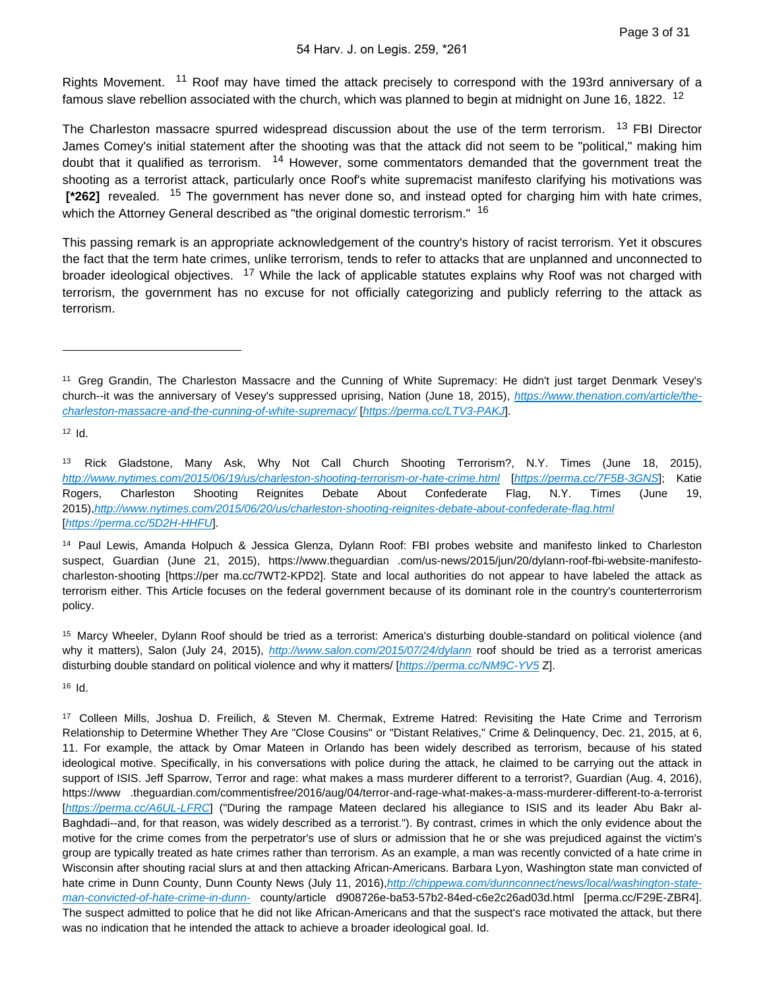Rights Movement. <sup>11</sup> Roof may have timed the attack precisely to correspond with the 193rd anniversary of a famous slave rebellion associated with the church, which was planned to begin at midnight on June 16, 1822. <sup>12</sup>

The Charleston massacre spurred widespread discussion about the use of the term terrorism. <sup>13</sup> FBI Director James Comey's initial statement after the shooting was that the attack did not seem to be "political," making him doubt that it qualified as terrorism. 14 However, some commentators demanded that the government treat the shooting as a terrorist attack, particularly once Roof's white supremacist manifesto clarifying his motivations was  **[\*262]** revealed. 15 The government has never done so, and instead opted for charging him with hate crimes, which the Attorney General described as "the original domestic terrorism." <sup>16</sup>

This passing remark is an appropriate acknowledgement of the country's history of racist terrorism. Yet it obscures the fact that the term hate crimes, unlike terrorism, tends to refer to attacks that are unplanned and unconnected to broader ideological objectives. <sup>17</sup> While the lack of applicable statutes explains why Roof was not charged with terrorism, the government has no excuse for not officially categorizing and publicly referring to the attack as terrorism.

<sup>14</sup> Paul Lewis, Amanda Holpuch & Jessica Glenza, Dylann Roof: FBI probes website and manifesto linked to Charleston suspect, Guardian (June 21, 2015), https://www.theguardian .com/us-news/2015/jun/20/dylann-roof-fbi-website-manifestocharleston-shooting [https://per ma.cc/7WT2-KPD2]. State and local authorities do not appear to have labeled the attack as terrorism either. This Article focuses on the federal government because of its dominant role in the country's counterterrorism policy.

15 Marcy Wheeler, Dylann Roof should be tried as a terrorist: America's disturbing double-standard on political violence (and why it matters), Salon (July 24, 2015), <http://www.salon.com/2015/07/24/dylann> roof should be tried as a terrorist americas disturbing double standard on political violence and why it matters/ [<https://perma.cc/NM9C-YV5> Z].

 $16$  Id.

<sup>17</sup> Colleen Mills, Joshua D. Freilich, & Steven M. Chermak, Extreme Hatred: Revisiting the Hate Crime and Terrorism Relationship to Determine Whether They Are "Close Cousins" or "Distant Relatives," Crime & Delinquency, Dec. 21, 2015, at 6, 11. For example, the attack by Omar Mateen in Orlando has been widely described as terrorism, because of his stated ideological motive. Specifically, in his conversations with police during the attack, he claimed to be carrying out the attack in support of ISIS. Jeff Sparrow, Terror and rage: what makes a mass murderer different to a terrorist?, Guardian (Aug. 4, 2016), https://www .theguardian.com/commentisfree/2016/aug/04/terror-and-rage-what-makes-a-mass-murderer-different-to-a-terrorist [<https://perma.cc/A6UL-LFRC>] ("During the rampage Mateen declared his allegiance to ISIS and its leader Abu Bakr al-Baghdadi--and, for that reason, was widely described as a terrorist."). By contrast, crimes in which the only evidence about the motive for the crime comes from the perpetrator's use of slurs or admission that he or she was prejudiced against the victim's group are typically treated as hate crimes rather than terrorism. As an example, a man was recently convicted of a hate crime in Wisconsin after shouting racial slurs at and then attacking African-Americans. Barbara Lyon, Washington state man convicted of hate crime in Dunn County, Dunn County News (July 11, 2016),[http://chippewa.com/dunnconnect/news/local/washington-state](http://chippewa.com/dunnconnect/news/local/washington-state-man-convicted-of-hate-crime-in-dunn-)[man-convicted-of-hate-crime-in-dunn-](http://chippewa.com/dunnconnect/news/local/washington-state-man-convicted-of-hate-crime-in-dunn-) county/article d908726e-ba53-57b2-84ed-c6e2c26ad03d.html [perma.cc/F29E-ZBR4]. The suspect admitted to police that he did not like African-Americans and that the suspect's race motivated the attack, but there was no indication that he intended the attack to achieve a broader ideological goal. Id.

<sup>&</sup>lt;sup>11</sup> Greg Grandin, The Charleston Massacre and the Cunning of White Supremacy: He didn't just target Denmark Vesey's church--it was the anniversary of Vesey's suppressed uprising, Nation (June 18, 2015), [https://www.thenation.com/article/the](https://www.thenation.com/article/the-charleston-massacre-and-the-cunning-of-white-supremacy/)[charleston-massacre-and-the-cunning-of-white-supremacy/](https://www.thenation.com/article/the-charleston-massacre-and-the-cunning-of-white-supremacy/) [<https://perma.cc/LTV3-PAKJ>].

 $12$  Id.

<sup>&</sup>lt;sup>13</sup> Rick Gladstone, Many Ask, Why Not Call Church Shooting Terrorism?, N.Y. Times (June 18, 2015), <http://www.nytimes.com/2015/06/19/us/charleston-shooting-terrorism-or-hate-crime.html> [<https://perma.cc/7F5B-3GNS>]; Katie Rogers, Charleston Shooting Reignites Debate About Confederate Flag, N.Y. Times (June 19, 2015),<http://www.nytimes.com/2015/06/20/us/charleston-shooting-reignites-debate-about-confederate-flag.html> [<https://perma.cc/5D2H-HHFU>].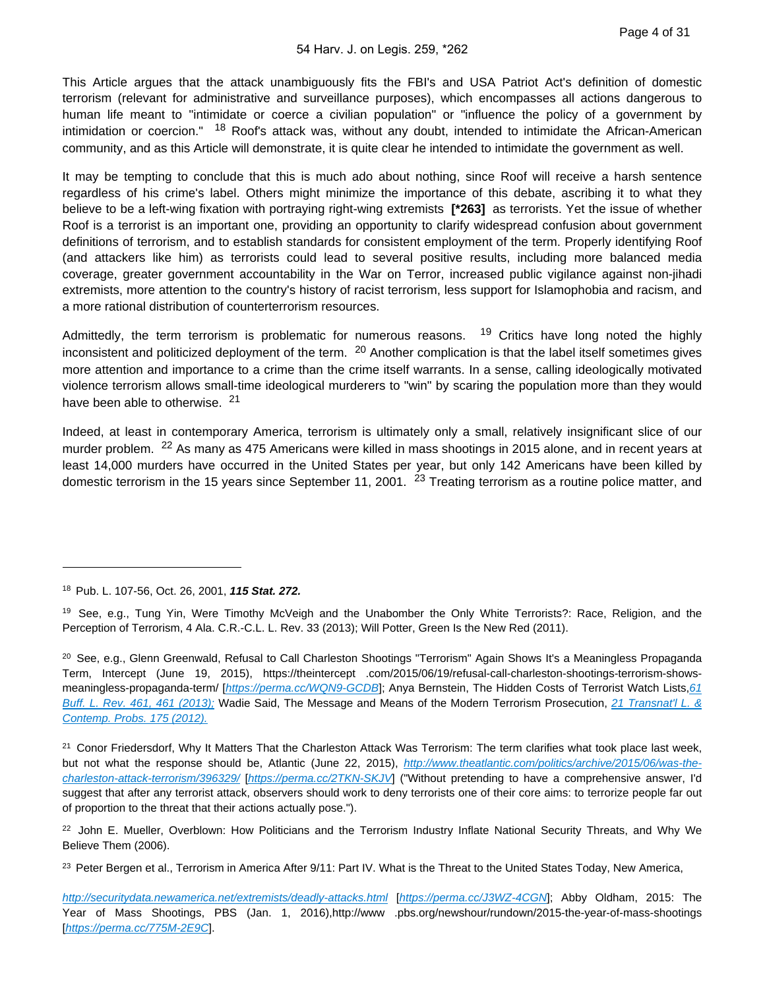This Article argues that the attack unambiguously fits the FBI's and USA Patriot Act's definition of domestic terrorism (relevant for administrative and surveillance purposes), which encompasses all actions dangerous to human life meant to "intimidate or coerce a civilian population" or "influence the policy of a government by intimidation or coercion." 18 Roof's attack was, without any doubt, intended to intimidate the African-American community, and as this Article will demonstrate, it is quite clear he intended to intimidate the government as well.

It may be tempting to conclude that this is much ado about nothing, since Roof will receive a harsh sentence regardless of his crime's label. Others might minimize the importance of this debate, ascribing it to what they believe to be a left-wing fixation with portraying right-wing extremists **[\*263]** as terrorists. Yet the issue of whether Roof is a terrorist is an important one, providing an opportunity to clarify widespread confusion about government definitions of terrorism, and to establish standards for consistent employment of the term. Properly identifying Roof (and attackers like him) as terrorists could lead to several positive results, including more balanced media coverage, greater government accountability in the War on Terror, increased public vigilance against non-jihadi extremists, more attention to the country's history of racist terrorism, less support for Islamophobia and racism, and a more rational distribution of counterterrorism resources.

Admittedly, the term terrorism is problematic for numerous reasons.  $19$  Critics have long noted the highly inconsistent and politicized deployment of the term.  $20$  Another complication is that the label itself sometimes gives more attention and importance to a crime than the crime itself warrants. In a sense, calling ideologically motivated violence terrorism allows small-time ideological murderers to "win" by scaring the population more than they would have been able to otherwise. <sup>21</sup>

Indeed, at least in contemporary America, terrorism is ultimately only a small, relatively insignificant slice of our murder problem. <sup>22</sup> As many as 475 Americans were killed in mass shootings in 2015 alone, and in recent years at least 14,000 murders have occurred in the United States per year, but only 142 Americans have been killed by domestic terrorism in the 15 years since September 11, 2001. <sup>23</sup> Treating terrorism as a routine police matter, and

<sup>18</sup> Pub. L. 107-56, Oct. 26, 2001, 115 Stat. 272.

<sup>&</sup>lt;sup>19</sup> See, e.g., Tung Yin, Were Timothy McVeigh and the Unabomber the Only White Terrorists?: Race, Religion, and the Perception of Terrorism, 4 Ala. C.R.-C.L. L. Rev. 33 (2013); Will Potter, Green Is the New Red (2011).

<sup>&</sup>lt;sup>20</sup> See, e.g., Glenn Greenwald, Refusal to Call Charleston Shootings "Terrorism" Again Shows It's a Meaningless Propaganda Term, Intercept (June 19, 2015), https://theintercept .com/2015/06/19/refusal-call-charleston-shootings-terrorism-showsmeaningless-propaganda-term/ [<https://perma.cc/WQN9-GCDB>]; Anya Bernstein, The Hidden Costs of Terrorist Watch Lists,61 [Buff. L. Rev. 461, 461 \(2013\);](https://advance.lexis.com/api/document?collection=analytical-materials&id=urn:contentItem:58YX-5M60-00CV-Y170-00000-00&context=1000516) Wadie Said, The Message and Means of the Modern Terrorism Prosecution, 21 Transnat'l L. & [Contemp. Probs. 175 \(2012\).](https://advance.lexis.com/api/document?collection=analytical-materials&id=urn:contentItem:5692-T560-02BN-0097-00000-00&context=1000516)

<sup>&</sup>lt;sup>21</sup> Conor Friedersdorf, Why It Matters That the Charleston Attack Was Terrorism: The term clarifies what took place last week, but not what the response should be, Atlantic (June 22, 2015), [http://www.theatlantic.com/politics/archive/2015/06/was-the](http://www.theatlantic.com/politics/archive/2015/06/was-the-charleston-attack-terrorism/396329/)[charleston-attack-terrorism/396329/](http://www.theatlantic.com/politics/archive/2015/06/was-the-charleston-attack-terrorism/396329/) [<https://perma.cc/2TKN-SKJV>] ("Without pretending to have a comprehensive answer, I'd suggest that after any terrorist attack, observers should work to deny terrorists one of their core aims: to terrorize people far out of proportion to the threat that their actions actually pose.").

<sup>&</sup>lt;sup>22</sup> John E. Mueller, Overblown: How Politicians and the Terrorism Industry Inflate National Security Threats, and Why We Believe Them (2006).

<sup>&</sup>lt;sup>23</sup> Peter Bergen et al., Terrorism in America After 9/11: Part IV. What is the Threat to the United States Today, New America,

<http://securitydata.newamerica.net/extremists/deadly-attacks.html> [<https://perma.cc/J3WZ-4CGN>]; Abby Oldham, 2015: The Year of Mass Shootings, PBS (Jan. 1, 2016),http://www .pbs.org/newshour/rundown/2015-the-year-of-mass-shootings [<https://perma.cc/775M-2E9C>].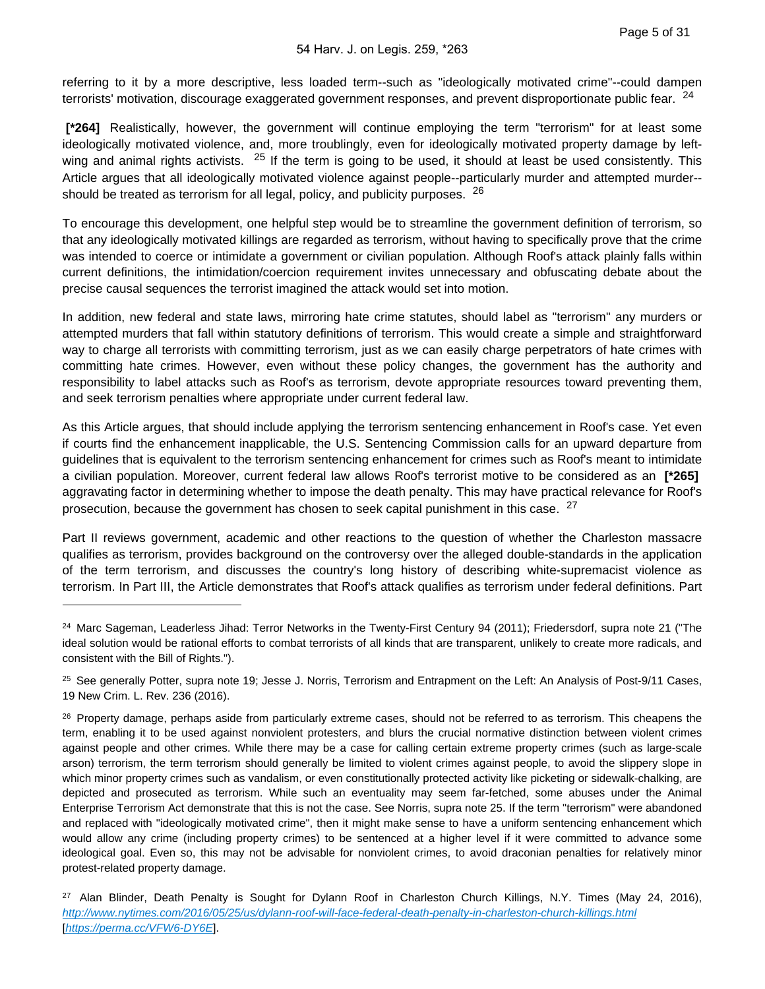referring to it by a more descriptive, less loaded term--such as "ideologically motivated crime"--could dampen terrorists' motivation, discourage exaggerated government responses, and prevent disproportionate public fear. <sup>24</sup>

 **[\*264]** Realistically, however, the government will continue employing the term "terrorism" for at least some ideologically motivated violence, and, more troublingly, even for ideologically motivated property damage by leftwing and animal rights activists. <sup>25</sup> If the term is going to be used, it should at least be used consistently. This Article argues that all ideologically motivated violence against people--particularly murder and attempted murder- should be treated as terrorism for all legal, policy, and publicity purposes. <sup>26</sup>

To encourage this development, one helpful step would be to streamline the government definition of terrorism, so that any ideologically motivated killings are regarded as terrorism, without having to specifically prove that the crime was intended to coerce or intimidate a government or civilian population. Although Roof's attack plainly falls within current definitions, the intimidation/coercion requirement invites unnecessary and obfuscating debate about the precise causal sequences the terrorist imagined the attack would set into motion.

In addition, new federal and state laws, mirroring hate crime statutes, should label as "terrorism" any murders or attempted murders that fall within statutory definitions of terrorism. This would create a simple and straightforward way to charge all terrorists with committing terrorism, just as we can easily charge perpetrators of hate crimes with committing hate crimes. However, even without these policy changes, the government has the authority and responsibility to label attacks such as Roof's as terrorism, devote appropriate resources toward preventing them, and seek terrorism penalties where appropriate under current federal law.

As this Article argues, that should include applying the terrorism sentencing enhancement in Roof's case. Yet even if courts find the enhancement inapplicable, the U.S. Sentencing Commission calls for an upward departure from guidelines that is equivalent to the terrorism sentencing enhancement for crimes such as Roof's meant to intimidate a civilian population. Moreover, current federal law allows Roof's terrorist motive to be considered as an **[\*265]**  aggravating factor in determining whether to impose the death penalty. This may have practical relevance for Roof's prosecution, because the government has chosen to seek capital punishment in this case. <sup>27</sup>

Part II reviews government, academic and other reactions to the question of whether the Charleston massacre qualifies as terrorism, provides background on the controversy over the alleged double-standards in the application of the term terrorism, and discusses the country's long history of describing white-supremacist violence as terrorism. In Part III, the Article demonstrates that Roof's attack qualifies as terrorism under federal definitions. Part

<sup>24</sup>Marc Sageman, Leaderless Jihad: Terror Networks in the Twenty-First Century 94 (2011); Friedersdorf, supra note 21 ("The ideal solution would be rational efforts to combat terrorists of all kinds that are transparent, unlikely to create more radicals, and consistent with the Bill of Rights.").

<sup>&</sup>lt;sup>25</sup> See generally Potter, supra note 19; Jesse J. Norris, Terrorism and Entrapment on the Left: An Analysis of Post-9/11 Cases, 19 New Crim. L. Rev. 236 (2016).

<sup>&</sup>lt;sup>26</sup> Property damage, perhaps aside from particularly extreme cases, should not be referred to as terrorism. This cheapens the term, enabling it to be used against nonviolent protesters, and blurs the crucial normative distinction between violent crimes against people and other crimes. While there may be a case for calling certain extreme property crimes (such as large-scale arson) terrorism, the term terrorism should generally be limited to violent crimes against people, to avoid the slippery slope in which minor property crimes such as vandalism, or even constitutionally protected activity like picketing or sidewalk-chalking, are depicted and prosecuted as terrorism. While such an eventuality may seem far-fetched, some abuses under the Animal Enterprise Terrorism Act demonstrate that this is not the case. See Norris, supra note 25. If the term "terrorism" were abandoned and replaced with "ideologically motivated crime", then it might make sense to have a uniform sentencing enhancement which would allow any crime (including property crimes) to be sentenced at a higher level if it were committed to advance some ideological goal. Even so, this may not be advisable for nonviolent crimes, to avoid draconian penalties for relatively minor protest-related property damage.

<sup>&</sup>lt;sup>27</sup> Alan Blinder, Death Penalty is Sought for Dylann Roof in Charleston Church Killings, N.Y. Times (May 24, 2016), <http://www.nytimes.com/2016/05/25/us/dylann-roof-will-face-federal-death-penalty-in-charleston-church-killings.html> [<https://perma.cc/VFW6-DY6E>].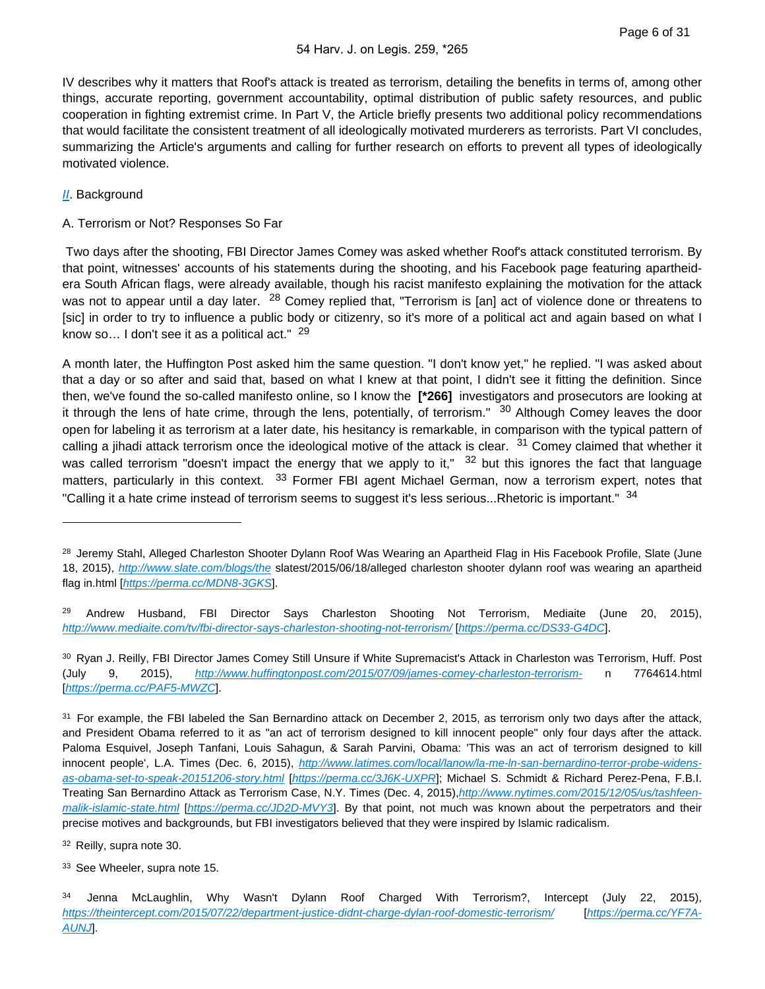IV describes why it matters that Roof's attack is treated as terrorism, detailing the benefits in terms of, among other things, accurate reporting, government accountability, optimal distribution of public safety resources, and public cooperation in fighting extremist crime. In Part V, the Article briefly presents two additional policy recommendations that would facilitate the consistent treatment of all ideologically motivated murderers as terrorists. Part VI concludes, summarizing the Article's arguments and calling for further research on efforts to prevent all types of ideologically motivated violence.

# **[II](https://advance.lexis.com/api/document?collection=statutes-legislation&id=urn:contentItem:8T9R-T352-D6RV-H379-00000-00&context=1000516).** Background

#### A. Terrorism or Not? Responses So Far

 Two days after the shooting, FBI Director James Comey was asked whether Roof's attack constituted terrorism. By that point, witnesses' accounts of his statements during the shooting, and his Facebook page featuring apartheidera South African flags, were already available, though his racist manifesto explaining the motivation for the attack was not to appear until a day later. <sup>28</sup> Comey replied that, "Terrorism is [an] act of violence done or threatens to [sic] in order to try to influence a public body or citizenry, so it's more of a political act and again based on what I know so... I don't see it as a political act." <sup>29</sup>

A month later, the Huffington Post asked him the same question. "I don't know yet," he replied. "I was asked about that a day or so after and said that, based on what I knew at that point, I didn't see it fitting the definition. Since then, we've found the so-called manifesto online, so I know the **[\*266]** investigators and prosecutors are looking at it through the lens of hate crime, through the lens, potentially, of terrorism."  $30$  Although Comey leaves the door open for labeling it as terrorism at a later date, his hesitancy is remarkable, in comparison with the typical pattern of calling a jihadi attack terrorism once the ideological motive of the attack is clear. <sup>31</sup> Comey claimed that whether it was called terrorism "doesn't impact the energy that we apply to it,"  $32$  but this ignores the fact that language matters, particularly in this context. <sup>33</sup> Former FBI agent Michael German, now a terrorism expert, notes that "Calling it a hate crime instead of terrorism seems to suggest it's less serious...Rhetoric is important." <sup>34</sup>

32 Reilly, supra note 30.

33 See Wheeler, supra note 15.

<sup>&</sup>lt;sup>28</sup> Jeremy Stahl, Alleged Charleston Shooter Dylann Roof Was Wearing an Apartheid Flag in His Facebook Profile, Slate (June 18, 2015), <http://www.slate.com/blogs/the> slatest/2015/06/18/alleged charleston shooter dylann roof was wearing an apartheid flag in.html [<https://perma.cc/MDN8-3GKS>].

<sup>&</sup>lt;sup>29</sup> Andrew Husband, FBI Director Says Charleston Shooting Not Terrorism, Mediaite (June 20, 2015), <http://www.mediaite.com/tv/fbi-director-says-charleston-shooting-not-terrorism/> [<https://perma.cc/DS33-G4DC>].

<sup>30</sup> Ryan J. Reilly, FBI Director James Comey Still Unsure if White Supremacist's Attack in Charleston was Terrorism, Huff. Post (July 9, 2015), <http://www.huffingtonpost.com/2015/07/09/james-comey-charleston-terrorism-> n 7764614.html [<https://perma.cc/PAF5-MWZC>].

<sup>&</sup>lt;sup>31</sup> For example, the FBI labeled the San Bernardino attack on December 2, 2015, as terrorism only two days after the attack, and President Obama referred to it as "an act of terrorism designed to kill innocent people" only four days after the attack. Paloma Esquivel, Joseph Tanfani, Louis Sahagun, & Sarah Parvini, Obama: 'This was an act of terrorism designed to kill innocent people', L.A. Times (Dec. 6, 2015), [http://www.latimes.com/local/lanow/la-me-ln-san-bernardino-terror-probe-widens](http://www.latimes.com/local/lanow/la-me-ln-san-bernardino-terror-probe-widens-as-obama-set-to-speak-20151206-story.html)[as-obama-set-to-speak-20151206-story.html](http://www.latimes.com/local/lanow/la-me-ln-san-bernardino-terror-probe-widens-as-obama-set-to-speak-20151206-story.html) [<https://perma.cc/3J6K-UXPR>]; Michael S. Schmidt & Richard Perez-Pena, F.B.I. Treating San Bernardino Attack as Terrorism Case, N.Y. Times (Dec. 4, 2015), [http://www.nytimes.com/2015/12/05/us/tashfeen](http://www.nytimes.com/2015/12/05/us/tashfeen-malik-islamic-state.html)[malik-islamic-state.html](http://www.nytimes.com/2015/12/05/us/tashfeen-malik-islamic-state.html) [<https://perma.cc/JD2D-MVY3>]. By that point, not much was known about the perpetrators and their precise motives and backgrounds, but FBI investigators believed that they were inspired by Islamic radicalism.

<sup>34</sup> Jenna McLaughlin, Why Wasn't Dylann Roof Charged With Terrorism?, Intercept (July 22, 2015), <https://theintercept.com/2015/07/22/department-justice-didnt-charge-dylan-roof-domestic-terrorism/> [[https://perma.cc/YF7A-](https://perma.cc/YF7A-AUNJ)[AUNJ](https://perma.cc/YF7A-AUNJ)].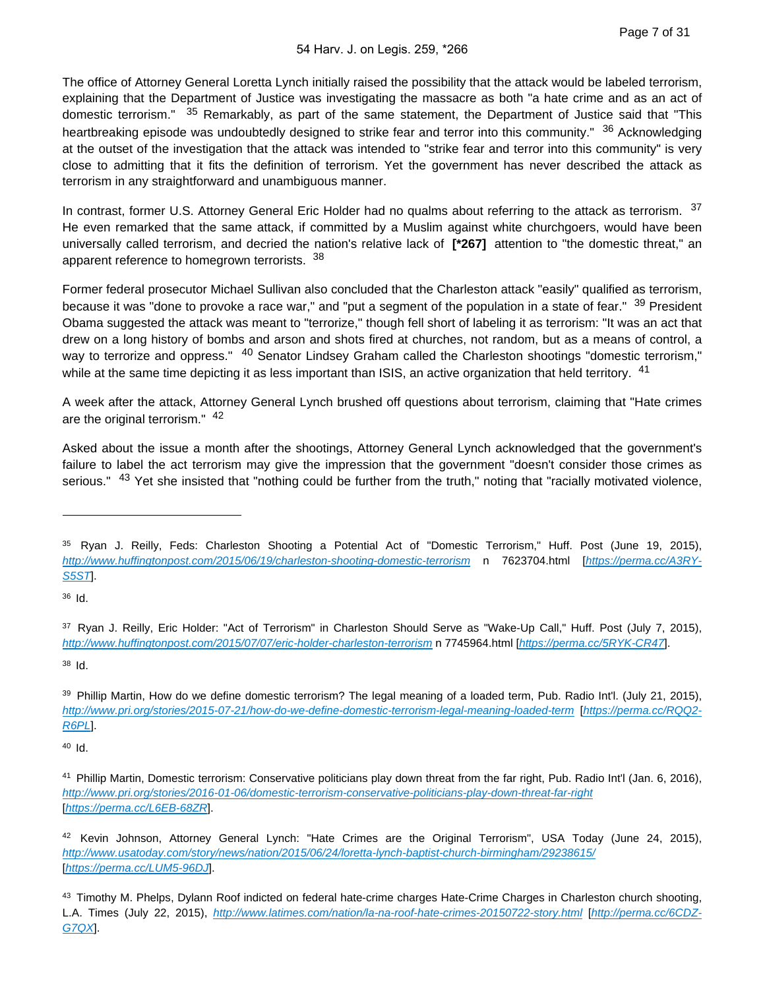The office of Attorney General Loretta Lynch initially raised the possibility that the attack would be labeled terrorism, explaining that the Department of Justice was investigating the massacre as both "a hate crime and as an act of domestic terrorism." <sup>35</sup> Remarkably, as part of the same statement, the Department of Justice said that "This heartbreaking episode was undoubtedly designed to strike fear and terror into this community." <sup>36</sup> Acknowledging at the outset of the investigation that the attack was intended to "strike fear and terror into this community" is very close to admitting that it fits the definition of terrorism. Yet the government has never described the attack as terrorism in any straightforward and unambiguous manner.

In contrast, former U.S. Attorney General Eric Holder had no qualms about referring to the attack as terrorism. <sup>37</sup> He even remarked that the same attack, if committed by a Muslim against white churchgoers, would have been universally called terrorism, and decried the nation's relative lack of **[\*267]** attention to "the domestic threat," an apparent reference to homegrown terrorists. 38

Former federal prosecutor Michael Sullivan also concluded that the Charleston attack "easily" qualified as terrorism, because it was "done to provoke a race war," and "put a segment of the population in a state of fear." <sup>39</sup> President Obama suggested the attack was meant to "terrorize," though fell short of labeling it as terrorism: "It was an act that drew on a long history of bombs and arson and shots fired at churches, not random, but as a means of control, a way to terrorize and oppress." <sup>40</sup> Senator Lindsey Graham called the Charleston shootings "domestic terrorism," while at the same time depicting it as less important than ISIS, an active organization that held territory.  $41$ 

A week after the attack, Attorney General Lynch brushed off questions about terrorism, claiming that "Hate crimes are the original terrorism." <sup>42</sup>

Asked about the issue a month after the shootings, Attorney General Lynch acknowledged that the government's failure to label the act terrorism may give the impression that the government "doesn't consider those crimes as serious." <sup>43</sup> Yet she insisted that "nothing could be further from the truth," noting that "racially motivated violence,

 $36$  Id.

<sup>38</sup>Id.

<sup>35</sup> Ryan J. Reilly, Feds: Charleston Shooting a Potential Act of "Domestic Terrorism," Huff. Post (June 19, 2015), <http://www.huffingtonpost.com/2015/06/19/charleston-shooting-domestic-terrorism> n 7623704.html [[https://perma.cc/A3RY-](https://perma.cc/A3RY-S5ST)[S5ST](https://perma.cc/A3RY-S5ST)].

<sup>37</sup> Ryan J. Reilly, Eric Holder: "Act of Terrorism" in Charleston Should Serve as "Wake-Up Call," Huff. Post (July 7, 2015), <http://www.huffingtonpost.com/2015/07/07/eric-holder-charleston-terrorism> n 7745964.html [<https://perma.cc/5RYK-CR47>].

<sup>39</sup> Phillip Martin, How do we define domestic terrorism? The legal meaning of a loaded term, Pub. Radio Int'l. (July 21, 2015), <http://www.pri.org/stories/2015-07-21/how-do-we-define-domestic-terrorism-legal-meaning-loaded-term> [[https://perma.cc/RQQ2-](https://perma.cc/RQQ2-R6PL) [R6PL](https://perma.cc/RQQ2-R6PL)].

<sup>41</sup>Phillip Martin, Domestic terrorism: Conservative politicians play down threat from the far right, Pub. Radio Int'l (Jan. 6, 2016), <http://www.pri.org/stories/2016-01-06/domestic-terrorism-conservative-politicians-play-down-threat-far-right> [<https://perma.cc/L6EB-68ZR>].

<sup>42</sup> Kevin Johnson, Attorney General Lynch: "Hate Crimes are the Original Terrorism", USA Today (June 24, 2015), <http://www.usatoday.com/story/news/nation/2015/06/24/loretta-lynch-baptist-church-birmingham/29238615/> [<https://perma.cc/LUM5-96DJ>].

<sup>43</sup> Timothy M. Phelps, Dylann Roof indicted on federal hate-crime charges Hate-Crime Charges in Charleston church shooting, L.A. Times (July 22, 2015), <http://www.latimes.com/nation/la-na-roof-hate-crimes-20150722-story.html> [[http://perma.cc/6CDZ-](http://perma.cc/6CDZ-G7QX)[G7QX](http://perma.cc/6CDZ-G7QX)].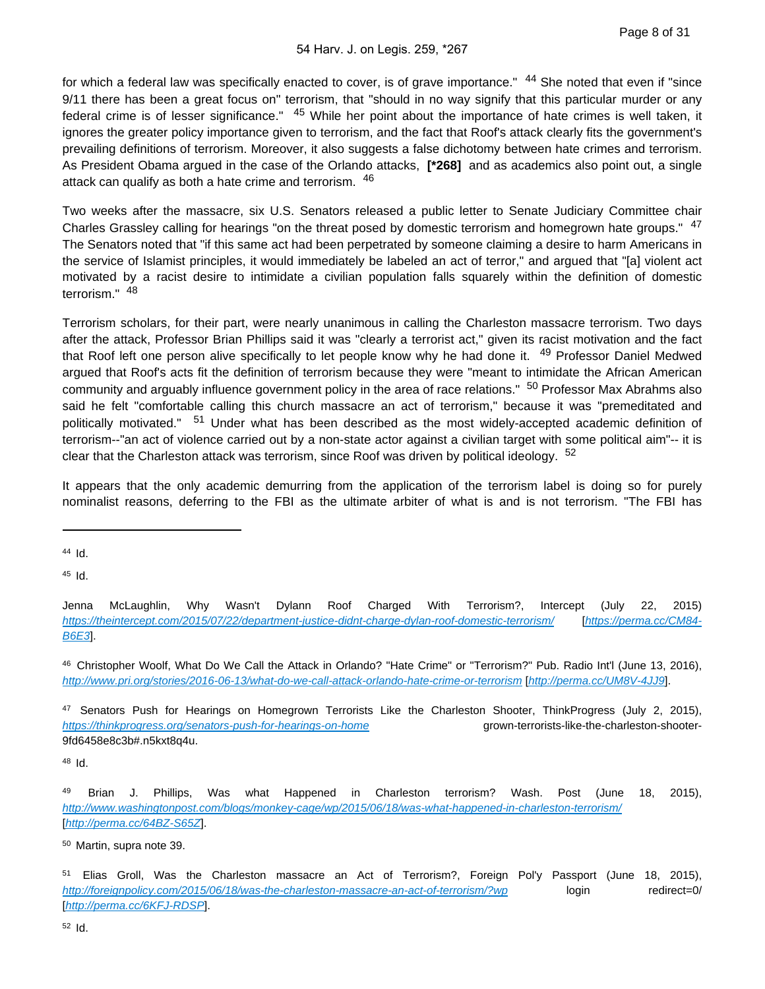for which a federal law was specifically enacted to cover, is of grave importance." <sup>44</sup> She noted that even if "since 9/11 there has been a great focus on" terrorism, that "should in no way signify that this particular murder or any federal crime is of lesser significance." <sup>45</sup> While her point about the importance of hate crimes is well taken, it ignores the greater policy importance given to terrorism, and the fact that Roof's attack clearly fits the government's prevailing definitions of terrorism. Moreover, it also suggests a false dichotomy between hate crimes and terrorism. As President Obama argued in the case of the Orlando attacks, **[\*268]** and as academics also point out, a single attack can qualify as both a hate crime and terrorism. <sup>46</sup>

Two weeks after the massacre, six U.S. Senators released a public letter to Senate Judiciary Committee chair Charles Grassley calling for hearings "on the threat posed by domestic terrorism and homegrown hate groups." <sup>47</sup> The Senators noted that "if this same act had been perpetrated by someone claiming a desire to harm Americans in the service of Islamist principles, it would immediately be labeled an act of terror," and argued that "[a] violent act motivated by a racist desire to intimidate a civilian population falls squarely within the definition of domestic terrorism." <sup>48</sup>

Terrorism scholars, for their part, were nearly unanimous in calling the Charleston massacre terrorism. Two days after the attack, Professor Brian Phillips said it was "clearly a terrorist act," given its racist motivation and the fact that Roof left one person alive specifically to let people know why he had done it. <sup>49</sup> Professor Daniel Medwed argued that Roof's acts fit the definition of terrorism because they were "meant to intimidate the African American community and arguably influence government policy in the area of race relations." <sup>50</sup> Professor Max Abrahms also said he felt "comfortable calling this church massacre an act of terrorism," because it was "premeditated and politically motivated." 51 Under what has been described as the most widely-accepted academic definition of terrorism--"an act of violence carried out by a non-state actor against a civilian target with some political aim"-- it is clear that the Charleston attack was terrorism, since Roof was driven by political ideology.  $52$ 

It appears that the only academic demurring from the application of the terrorism label is doing so for purely nominalist reasons, deferring to the FBI as the ultimate arbiter of what is and is not terrorism. "The FBI has

 $45$  Id.

 $44$  Id.

Jenna McLaughlin, Why Wasn't Dylann Roof Charged With Terrorism?, Intercept (July 22, 2015) <https://theintercept.com/2015/07/22/department-justice-didnt-charge-dylan-roof-domestic-terrorism/> [[https://perma.cc/CM84-](https://perma.cc/CM84-B6E3) [B6E3](https://perma.cc/CM84-B6E3)].

<sup>46</sup>Christopher Woolf, What Do We Call the Attack in Orlando? "Hate Crime" or "Terrorism?" Pub. Radio Int'l (June 13, 2016), <http://www.pri.org/stories/2016-06-13/what-do-we-call-attack-orlando-hate-crime-or-terrorism> [<http://perma.cc/UM8V-4JJ9>].

<sup>47</sup> Senators Push for Hearings on Homegrown Terrorists Like the Charleston Shooter, ThinkProgress (July 2, 2015), <https://thinkprogress.org/senators-push-for-hearings-on-home> grown-terrorists-like-the-charleston-shooter-9fd6458e8c3b#.n5kxt8q4u.

<sup>49</sup> Brian J. Phillips, Was what Happened in Charleston terrorism? Wash. Post (June 18, 2015), <http://www.washingtonpost.com/blogs/monkey-cage/wp/2015/06/18/was-what-happened-in-charleston-terrorism/> [<http://perma.cc/64BZ-S65Z>].

<sup>50</sup> Martin, supra note 39.

<sup>51</sup> Elias Groll, Was the Charleston massacre an Act of Terrorism?, Foreign Pol'y Passport (June 18, 2015), <http://foreignpolicy.com/2015/06/18/was-the-charleston-massacre-an-act-of-terrorism/?wp> login redirect=0/ [<http://perma.cc/6KFJ-RDSP>].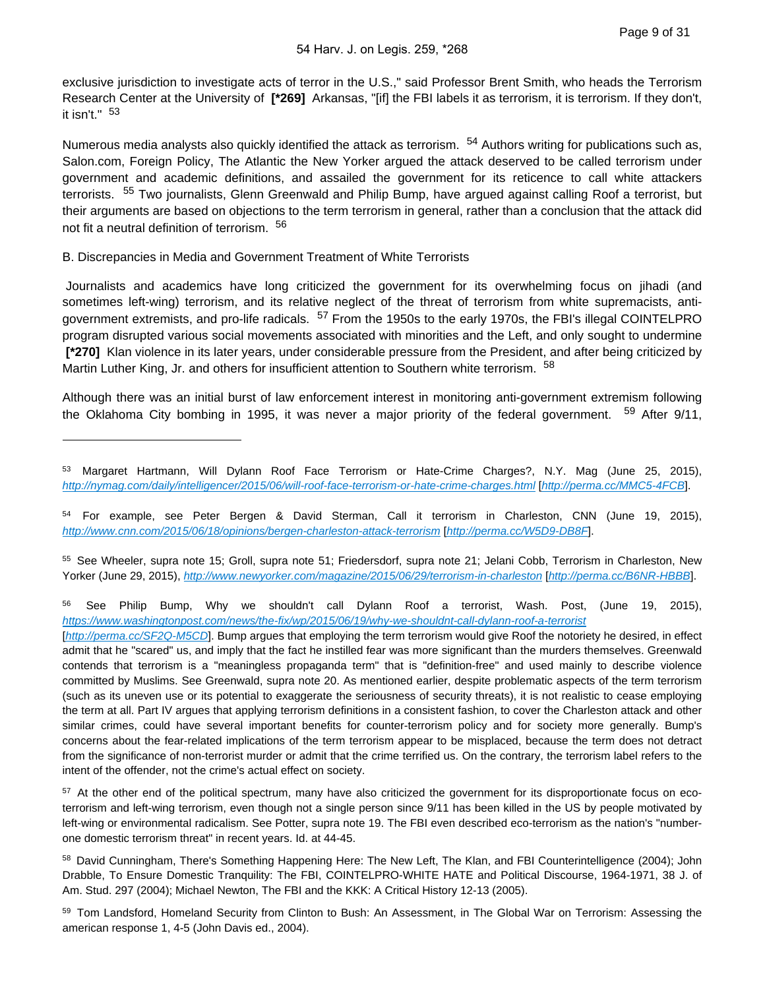exclusive jurisdiction to investigate acts of terror in the U.S.," said Professor Brent Smith, who heads the Terrorism Research Center at the University of **[\*269]** Arkansas, "[if] the FBI labels it as terrorism, it is terrorism. If they don't, it isn't."  $53$ 

Numerous media analysts also quickly identified the attack as terrorism. <sup>54</sup> Authors writing for publications such as, Salon.com, Foreign Policy, The Atlantic the New Yorker argued the attack deserved to be called terrorism under government and academic definitions, and assailed the government for its reticence to call white attackers terrorists. 55 Two journalists, Glenn Greenwald and Philip Bump, have argued against calling Roof a terrorist, but their arguments are based on objections to the term terrorism in general, rather than a conclusion that the attack did not fit a neutral definition of terrorism. <sup>56</sup>

B. Discrepancies in Media and Government Treatment of White Terrorists

 Journalists and academics have long criticized the government for its overwhelming focus on jihadi (and sometimes left-wing) terrorism, and its relative neglect of the threat of terrorism from white supremacists, antigovernment extremists, and pro-life radicals. <sup>57</sup> From the 1950s to the early 1970s, the FBI's illegal COINTELPRO program disrupted various social movements associated with minorities and the Left, and only sought to undermine  **[\*270]** Klan violence in its later years, under considerable pressure from the President, and after being criticized by Martin Luther King, Jr. and others for insufficient attention to Southern white terrorism. <sup>58</sup>

Although there was an initial burst of law enforcement interest in monitoring anti-government extremism following the Oklahoma City bombing in 1995, it was never a major priority of the federal government. <sup>59</sup> After 9/11,

54 For example, see Peter Bergen & David Sterman, Call it terrorism in Charleston, CNN (June 19, 2015), <http://www.cnn.com/2015/06/18/opinions/bergen-charleston-attack-terrorism> [<http://perma.cc/W5D9-DB8F>].

55 See Wheeler, supra note 15; Groll, supra note 51; Friedersdorf, supra note 21; Jelani Cobb, Terrorism in Charleston, New Yorker (June 29, 2015), <http://www.newyorker.com/magazine/2015/06/29/terrorism-in-charleston> [<http://perma.cc/B6NR-HBBB>].

<sup>56</sup> See Philip Bump, Why we shouldn't call Dylann Roof a terrorist, Wash. Post, (June 19, 2015), <https://www.washingtonpost.com/news/the-fix/wp/2015/06/19/why-we-shouldnt-call-dylann-roof-a-terrorist>

[<http://perma.cc/SF2Q-M5CD>]. Bump argues that employing the term terrorism would give Roof the notoriety he desired, in effect admit that he "scared" us, and imply that the fact he instilled fear was more significant than the murders themselves. Greenwald contends that terrorism is a "meaningless propaganda term" that is "definition-free" and used mainly to describe violence committed by Muslims. See Greenwald, supra note 20. As mentioned earlier, despite problematic aspects of the term terrorism (such as its uneven use or its potential to exaggerate the seriousness of security threats), it is not realistic to cease employing the term at all. Part IV argues that applying terrorism definitions in a consistent fashion, to cover the Charleston attack and other similar crimes, could have several important benefits for counter-terrorism policy and for society more generally. Bump's concerns about the fear-related implications of the term terrorism appear to be misplaced, because the term does not detract from the significance of non-terrorist murder or admit that the crime terrified us. On the contrary, the terrorism label refers to the intent of the offender, not the crime's actual effect on society.

<sup>57</sup> At the other end of the political spectrum, many have also criticized the government for its disproportionate focus on ecoterrorism and left-wing terrorism, even though not a single person since 9/11 has been killed in the US by people motivated by left-wing or environmental radicalism. See Potter, supra note 19. The FBI even described eco-terrorism as the nation's "numberone domestic terrorism threat" in recent years. Id. at 44-45.

58 David Cunningham, There's Something Happening Here: The New Left, The Klan, and FBI Counterintelligence (2004); John Drabble, To Ensure Domestic Tranquility: The FBI, COINTELPRO-WHITE HATE and Political Discourse, 1964-1971, 38 J. of Am. Stud. 297 (2004); Michael Newton, The FBI and the KKK: A Critical History 12-13 (2005).

59 Tom Landsford, Homeland Security from Clinton to Bush: An Assessment, in The Global War on Terrorism: Assessing the american response 1, 4-5 (John Davis ed., 2004).

<sup>53</sup> Margaret Hartmann, Will Dylann Roof Face Terrorism or Hate-Crime Charges?, N.Y. Mag (June 25, 2015), <http://nymag.com/daily/intelligencer/2015/06/will-roof-face-terrorism-or-hate-crime-charges.html> [<http://perma.cc/MMC5-4FCB>].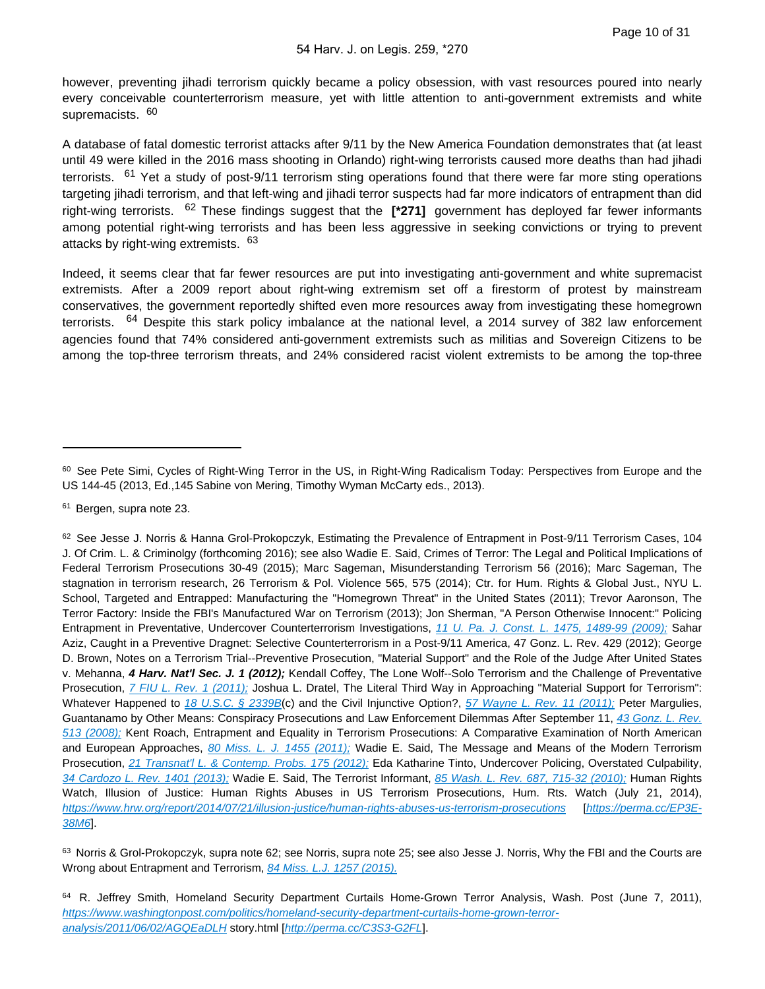however, preventing jihadi terrorism quickly became a policy obsession, with vast resources poured into nearly every conceivable counterterrorism measure, yet with little attention to anti-government extremists and white supremacists. 60

A database of fatal domestic terrorist attacks after 9/11 by the New America Foundation demonstrates that (at least until 49 were killed in the 2016 mass shooting in Orlando) right-wing terrorists caused more deaths than had jihadi terrorists. <sup>61</sup> Yet a study of post-9/11 terrorism sting operations found that there were far more sting operations targeting jihadi terrorism, and that left-wing and jihadi terror suspects had far more indicators of entrapment than did right-wing terrorists. 62 These findings suggest that the **[\*271]** government has deployed far fewer informants among potential right-wing terrorists and has been less aggressive in seeking convictions or trying to prevent attacks by right-wing extremists.  $63$ 

Indeed, it seems clear that far fewer resources are put into investigating anti-government and white supremacist extremists. After a 2009 report about right-wing extremism set off a firestorm of protest by mainstream conservatives, the government reportedly shifted even more resources away from investigating these homegrown terrorists. <sup>64</sup> Despite this stark policy imbalance at the national level, a 2014 survey of 382 law enforcement agencies found that 74% considered anti-government extremists such as militias and Sovereign Citizens to be among the top-three terrorism threats, and 24% considered racist violent extremists to be among the top-three

<sup>60</sup> See Pete Simi, Cycles of Right-Wing Terror in the US, in Right-Wing Radicalism Today: Perspectives from Europe and the US 144-45 (2013, Ed.,145 Sabine von Mering, Timothy Wyman McCarty eds., 2013).

<sup>61</sup> Bergen, supra note 23.

<sup>62</sup> See Jesse J. Norris & Hanna Grol-Prokopczyk, Estimating the Prevalence of Entrapment in Post-9/11 Terrorism Cases, 104 J. Of Crim. L. & Criminolgy (forthcoming 2016); see also Wadie E. Said, Crimes of Terror: The Legal and Political Implications of Federal Terrorism Prosecutions 30-49 (2015); Marc Sageman, Misunderstanding Terrorism 56 (2016); Marc Sageman, The stagnation in terrorism research, 26 Terrorism & Pol. Violence 565, 575 (2014); Ctr. for Hum. Rights & Global Just., NYU L. School, Targeted and Entrapped: Manufacturing the "Homegrown Threat" in the United States (2011); Trevor Aaronson, The Terror Factory: Inside the FBI's Manufactured War on Terrorism (2013); Jon Sherman, "A Person Otherwise Innocent:" Policing Entrapment in Preventative, Undercover Counterterrorism Investigations, [11 U. Pa. J. Const. L. 1475, 1489-99 \(2009\);](https://advance.lexis.com/api/document?collection=analytical-materials&id=urn:contentItem:4XNF-B4G0-02BM-Y018-00000-00&context=1000516) Sahar Aziz, Caught in a Preventive Dragnet: Selective Counterterrorism in a Post-9/11 America, 47 Gonz. L. Rev. 429 (2012); George D. Brown, Notes on a Terrorism Trial--Preventive Prosecution, "Material Support" and the Role of the Judge After United States v. Mehanna, **4 Harv. Nat'l Sec. J. 1 (2012);** Kendall Coffey, The Lone Wolf--Solo Terrorism and the Challenge of Preventative Prosecution, [7 FIU L. Rev. 1 \(2011\);](https://advance.lexis.com/api/document?collection=analytical-materials&id=urn:contentItem:576M-FS90-02C9-K054-00000-00&context=1000516) Joshua L. Dratel, The Literal Third Way in Approaching "Material Support for Terrorism": Whatever Happened to [18 U.S.C. § 2339B](https://advance.lexis.com/api/document?collection=statutes-legislation&id=urn:contentItem:8SG9-5042-D6RV-H0XV-00000-00&context=1000516)(c) and the Civil Injunctive Option?, [57 Wayne L. Rev. 11 \(2011\);](https://advance.lexis.com/api/document?collection=analytical-materials&id=urn:contentItem:56P6-V180-00CW-008J-00000-00&context=1000516) Peter Margulies, Guantanamo by Other Means: Conspiracy Prosecutions and Law Enforcement Dilemmas After September 11, 43 Gonz. L. Rev. [513 \(2008\);](https://advance.lexis.com/api/document?collection=analytical-materials&id=urn:contentItem:4SWP-6C00-00CV-20G9-00000-00&context=1000516) Kent Roach, Entrapment and Equality in Terrorism Prosecutions: A Comparative Examination of North American and European Approaches, [80 Miss. L. J. 1455 \(2011\);](https://advance.lexis.com/api/document?collection=analytical-materials&id=urn:contentItem:550F-H680-00CW-F02V-00000-00&context=1000516) Wadie E. Said, The Message and Means of the Modern Terrorism Prosecution, [21 Transnat'l L. & Contemp. Probs. 175 \(2012\);](https://advance.lexis.com/api/document?collection=analytical-materials&id=urn:contentItem:5692-T560-02BN-0097-00000-00&context=1000516) Eda Katharine Tinto, Undercover Policing, Overstated Culpability, [34 Cardozo L. Rev. 1401 \(2013\);](https://advance.lexis.com/api/document?collection=analytical-materials&id=urn:contentItem:58CT-B720-00CT-S0FN-00000-00&context=1000516) Wadie E. Said, The Terrorist Informant, [85 Wash. L. Rev. 687, 715-32 \(2010\);](https://advance.lexis.com/api/document?collection=analytical-materials&id=urn:contentItem:51WC-G1B0-02BN-00K4-00000-00&context=1000516) Human Rights Watch, Illusion of Justice: Human Rights Abuses in US Terrorism Prosecutions, Hum. Rts. Watch (July 21, 2014), <https://www.hrw.org/report/2014/07/21/illusion-justice/human-rights-abuses-us-terrorism-prosecutions> [[https://perma.cc/EP3E-](https://perma.cc/EP3E-38M6)[38M6](https://perma.cc/EP3E-38M6)].

<sup>63</sup> Norris & Grol-Prokopczyk, supra note 62; see Norris, supra note 25; see also Jesse J. Norris, Why the FBI and the Courts are Wrong about Entrapment and Terrorism, [84 Miss. L.J. 1257 \(2015\).](https://advance.lexis.com/api/document?collection=analytical-materials&id=urn:contentItem:5GJ3-K3M0-00CW-F17S-00000-00&context=1000516)

<sup>64</sup> R. Jeffrey Smith, Homeland Security Department Curtails Home-Grown Terror Analysis, Wash. Post (June 7, 2011), [https://www.washingtonpost.com/politics/homeland-security-department-curtails-home-grown-terror](https://www.washingtonpost.com/politics/homeland-security-department-curtails-home-grown-terror-analysis/2011/06/02/AGQEaDLH)[analysis/2011/06/02/AGQEaDLH](https://www.washingtonpost.com/politics/homeland-security-department-curtails-home-grown-terror-analysis/2011/06/02/AGQEaDLH) story.html [<http://perma.cc/C3S3-G2FL>].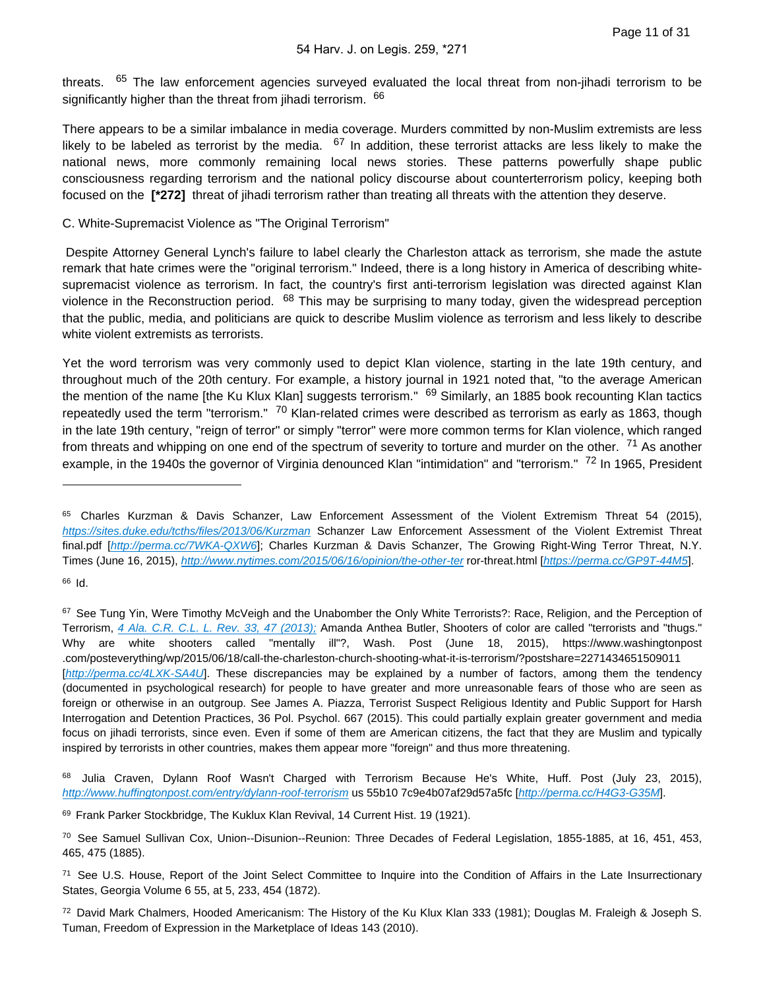threats. <sup>65</sup> The law enforcement agencies surveyed evaluated the local threat from non-jihadi terrorism to be significantly higher than the threat from jihadi terrorism. <sup>66</sup>

There appears to be a similar imbalance in media coverage. Murders committed by non-Muslim extremists are less likely to be labeled as terrorist by the media.  $67$  In addition, these terrorist attacks are less likely to make the national news, more commonly remaining local news stories. These patterns powerfully shape public consciousness regarding terrorism and the national policy discourse about counterterrorism policy, keeping both focused on the **[\*272]** threat of jihadi terrorism rather than treating all threats with the attention they deserve.

C. White-Supremacist Violence as "The Original Terrorism"

 Despite Attorney General Lynch's failure to label clearly the Charleston attack as terrorism, she made the astute remark that hate crimes were the "original terrorism." Indeed, there is a long history in America of describing whitesupremacist violence as terrorism. In fact, the country's first anti-terrorism legislation was directed against Klan violence in the Reconstruction period. <sup>68</sup> This may be surprising to many today, given the widespread perception that the public, media, and politicians are quick to describe Muslim violence as terrorism and less likely to describe white violent extremists as terrorists.

Yet the word terrorism was very commonly used to depict Klan violence, starting in the late 19th century, and throughout much of the 20th century. For example, a history journal in 1921 noted that, "to the average American the mention of the name [the Ku Klux Klan] suggests terrorism." <sup>69</sup> Similarly, an 1885 book recounting Klan tactics repeatedly used the term "terrorism." <sup>70</sup> Klan-related crimes were described as terrorism as early as 1863, though in the late 19th century, "reign of terror" or simply "terror" were more common terms for Klan violence, which ranged from threats and whipping on one end of the spectrum of severity to torture and murder on the other. <sup>71</sup> As another example, in the 1940s the governor of Virginia denounced Klan "intimidation" and "terrorism." <sup>72</sup> In 1965, President

68 Julia Craven, Dylann Roof Wasn't Charged with Terrorism Because He's White, Huff. Post (July 23, 2015), <http://www.huffingtonpost.com/entry/dylann-roof-terrorism> us 55b10 7c9e4b07af29d57a5fc [<http://perma.cc/H4G3-G35M>].

69 Frank Parker Stockbridge, The Kuklux Klan Revival, 14 Current Hist. 19 (1921).

<sup>65</sup> Charles Kurzman & Davis Schanzer, Law Enforcement Assessment of the Violent Extremism Threat 54 (2015), <https://sites.duke.edu/tcths/files/2013/06/Kurzman> Schanzer Law Enforcement Assessment of the Violent Extremist Threat final.pdf [<http://perma.cc/7WKA-QXW6>]; Charles Kurzman & Davis Schanzer, The Growing Right-Wing Terror Threat, N.Y. Times (June 16, 2015), <http://www.nytimes.com/2015/06/16/opinion/the-other-ter> ror-threat.html [<https://perma.cc/GP9T-44M5>].  $66$  Id.

<sup>67</sup> See Tung Yin, Were Timothy McVeigh and the Unabomber the Only White Terrorists?: Race, Religion, and the Perception of Terrorism, [4 Ala. C.R. C.L. L. Rev. 33, 47 \(2013\);](https://advance.lexis.com/api/document?collection=analytical-materials&id=urn:contentItem:5N7M-8R80-0014-216X-00000-00&context=1000516) Amanda Anthea Butler, Shooters of color are called "terrorists and "thugs." Why are white shooters called "mentally ill"?, Wash. Post (June 18, 2015), https://www.washingtonpost .com/posteverything/wp/2015/06/18/call-the-charleston-church-shooting-what-it-is-terrorism/?postshare=2271434651509011 [<http://perma.cc/4LXK-SA4U>]. These discrepancies may be explained by a number of factors, among them the tendency (documented in psychological research) for people to have greater and more unreasonable fears of those who are seen as foreign or otherwise in an outgroup. See James A. Piazza, Terrorist Suspect Religious Identity and Public Support for Harsh Interrogation and Detention Practices, 36 Pol. Psychol. 667 (2015). This could partially explain greater government and media focus on jihadi terrorists, since even. Even if some of them are American citizens, the fact that they are Muslim and typically inspired by terrorists in other countries, makes them appear more "foreign" and thus more threatening.

<sup>70</sup> See Samuel Sullivan Cox, Union--Disunion--Reunion: Three Decades of Federal Legislation, 1855-1885, at 16, 451, 453, 465, 475 (1885).

<sup>&</sup>lt;sup>71</sup> See U.S. House, Report of the Joint Select Committee to Inquire into the Condition of Affairs in the Late Insurrectionary States, Georgia Volume 6 55, at 5, 233, 454 (1872).

<sup>72</sup> David Mark Chalmers, Hooded Americanism: The History of the Ku Klux Klan 333 (1981); Douglas M. Fraleigh & Joseph S. Tuman, Freedom of Expression in the Marketplace of Ideas 143 (2010).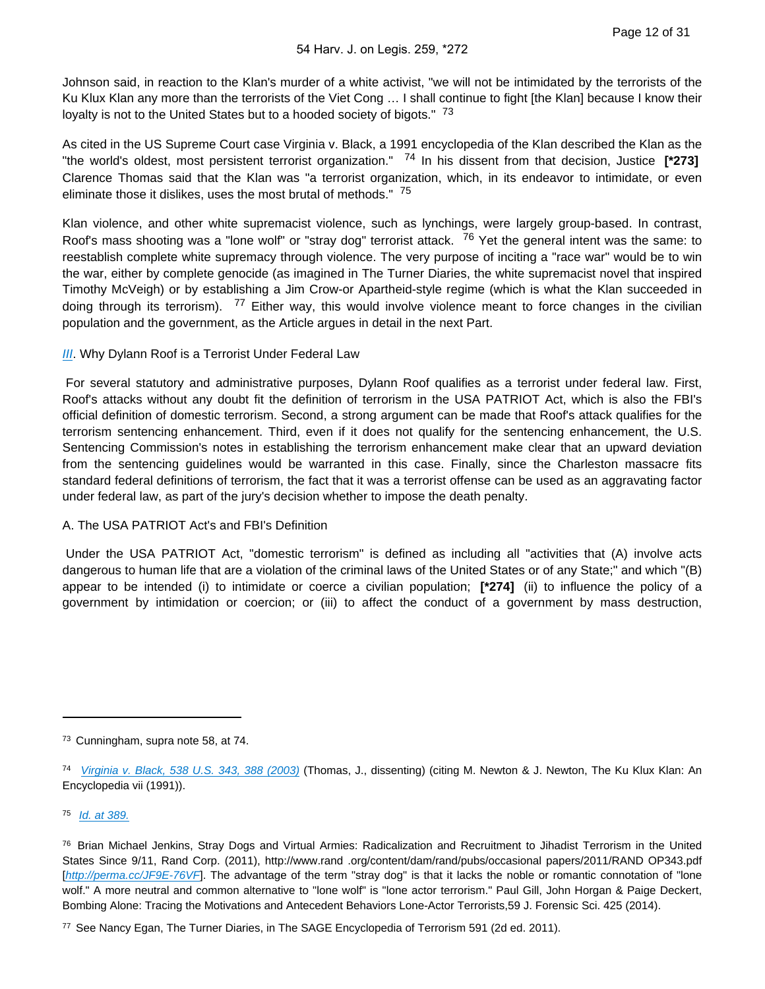Johnson said, in reaction to the Klan's murder of a white activist, "we will not be intimidated by the terrorists of the Ku Klux Klan any more than the terrorists of the Viet Cong … I shall continue to fight [the Klan] because I know their loyalty is not to the United States but to a hooded society of bigots." <sup>73</sup>

As cited in the US Supreme Court case Virginia v. Black, a 1991 encyclopedia of the Klan described the Klan as the "the world's oldest, most persistent terrorist organization." 74 In his dissent from that decision, Justice **[\*273]**  Clarence Thomas said that the Klan was "a terrorist organization, which, in its endeavor to intimidate, or even eliminate those it dislikes, uses the most brutal of methods." <sup>75</sup>

Klan violence, and other white supremacist violence, such as lynchings, were largely group-based. In contrast, Roof's mass shooting was a "lone wolf" or "stray dog" terrorist attack. <sup>76</sup> Yet the general intent was the same: to reestablish complete white supremacy through violence. The very purpose of inciting a "race war" would be to win the war, either by complete genocide (as imagined in The Turner Diaries, the white supremacist novel that inspired Timothy McVeigh) or by establishing a Jim Crow-or Apartheid-style regime (which is what the Klan succeeded in doing through its terrorism).  $77$  Either way, this would involve violence meant to force changes in the civilian population and the government, as the Article argues in detail in the next Part.

# **[III](https://advance.lexis.com/api/document?collection=statutes-legislation&id=urn:contentItem:8T9R-T372-8T6X-731R-00000-00&context=1000516).** Why Dylann Roof is a Terrorist Under Federal Law

 For several statutory and administrative purposes, Dylann Roof qualifies as a terrorist under federal law. First, Roof's attacks without any doubt fit the definition of terrorism in the USA PATRIOT Act, which is also the FBI's official definition of domestic terrorism. Second, a strong argument can be made that Roof's attack qualifies for the terrorism sentencing enhancement. Third, even if it does not qualify for the sentencing enhancement, the U.S. Sentencing Commission's notes in establishing the terrorism enhancement make clear that an upward deviation from the sentencing guidelines would be warranted in this case. Finally, since the Charleston massacre fits standard federal definitions of terrorism, the fact that it was a terrorist offense can be used as an aggravating factor under federal law, as part of the jury's decision whether to impose the death penalty.

# A. The USA PATRIOT Act's and FBI's Definition

 Under the USA PATRIOT Act, "domestic terrorism" is defined as including all "activities that (A) involve acts dangerous to human life that are a violation of the criminal laws of the United States or of any State;" and which "(B) appear to be intended (i) to intimidate or coerce a civilian population; **[\*274]** (ii) to influence the policy of a government by intimidation or coercion; or (iii) to affect the conduct of a government by mass destruction,

<sup>75</sup> *[Id. at 389.](https://advance.lexis.com/api/document?collection=cases&id=urn:contentItem:489R-2N10-004C-100H-00000-00&context=1000516)* 

<sup>&</sup>lt;sup>73</sup> Cunningham, supra note 58, at 74.

<sup>74</sup> [Virginia v. Black, 538 U.S. 343, 388 \(2003\)](https://advance.lexis.com/api/document?collection=cases&id=urn:contentItem:489R-2N10-004C-100H-00000-00&context=1000516) (Thomas, J., dissenting) (citing M. Newton & J. Newton, The Ku Klux Klan: An Encyclopedia vii (1991)).

<sup>76</sup> Brian Michael Jenkins, Stray Dogs and Virtual Armies: Radicalization and Recruitment to Jihadist Terrorism in the United States Since 9/11, Rand Corp. (2011), http://www.rand .org/content/dam/rand/pubs/occasional papers/2011/RAND OP343.pdf [<http://perma.cc/JF9E-76VF>]. The advantage of the term "stray dog" is that it lacks the noble or romantic connotation of "lone wolf." A more neutral and common alternative to "lone wolf" is "lone actor terrorism." Paul Gill, John Horgan & Paige Deckert, Bombing Alone: Tracing the Motivations and Antecedent Behaviors Lone-Actor Terrorists,59 J. Forensic Sci. 425 (2014).

<sup>77</sup>See Nancy Egan, The Turner Diaries, in The SAGE Encyclopedia of Terrorism 591 (2d ed. 2011).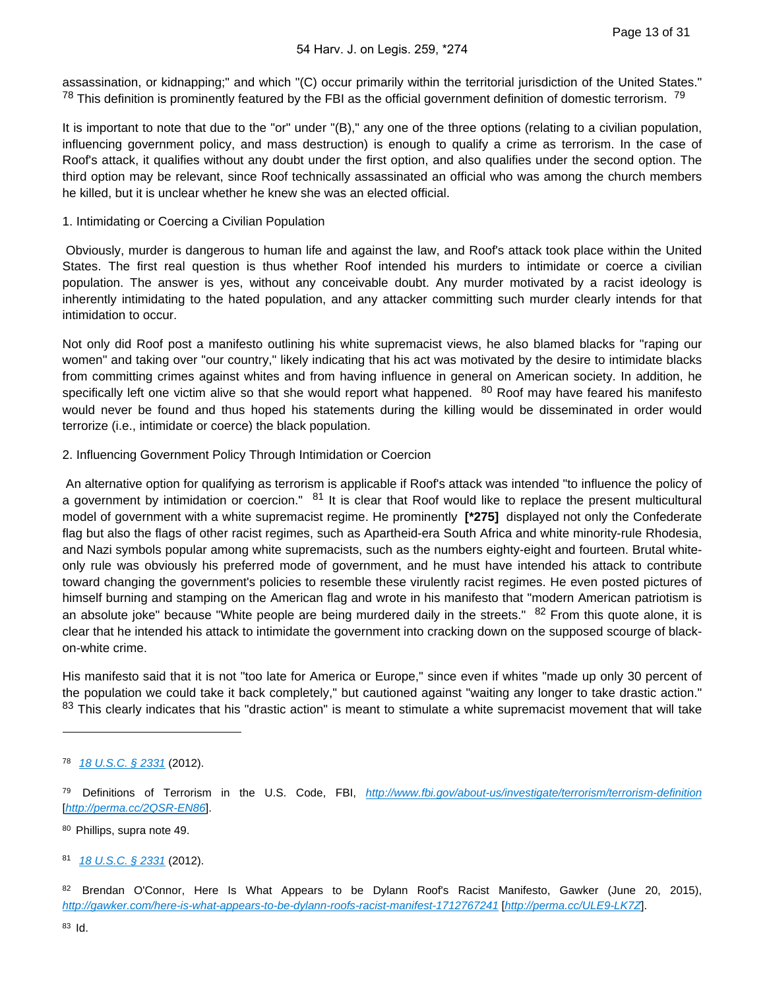assassination, or kidnapping;" and which "(C) occur primarily within the territorial jurisdiction of the United States."  $78$  This definition is prominently featured by the FBI as the official government definition of domestic terrorism.  $79$ 

It is important to note that due to the "or" under "(B)," any one of the three options (relating to a civilian population, influencing government policy, and mass destruction) is enough to qualify a crime as terrorism. In the case of Roof's attack, it qualifies without any doubt under the first option, and also qualifies under the second option. The third option may be relevant, since Roof technically assassinated an official who was among the church members he killed, but it is unclear whether he knew she was an elected official.

#### 1. Intimidating or Coercing a Civilian Population

 Obviously, murder is dangerous to human life and against the law, and Roof's attack took place within the United States. The first real question is thus whether Roof intended his murders to intimidate or coerce a civilian population. The answer is yes, without any conceivable doubt. Any murder motivated by a racist ideology is inherently intimidating to the hated population, and any attacker committing such murder clearly intends for that intimidation to occur.

Not only did Roof post a manifesto outlining his white supremacist views, he also blamed blacks for "raping our women" and taking over "our country," likely indicating that his act was motivated by the desire to intimidate blacks from committing crimes against whites and from having influence in general on American society. In addition, he specifically left one victim alive so that she would report what happened. <sup>80</sup> Roof may have feared his manifesto would never be found and thus hoped his statements during the killing would be disseminated in order would terrorize (i.e., intimidate or coerce) the black population.

## 2. Influencing Government Policy Through Intimidation or Coercion

 An alternative option for qualifying as terrorism is applicable if Roof's attack was intended "to influence the policy of a government by intimidation or coercion." <sup>81</sup> It is clear that Roof would like to replace the present multicultural model of government with a white supremacist regime. He prominently **[\*275]** displayed not only the Confederate flag but also the flags of other racist regimes, such as Apartheid-era South Africa and white minority-rule Rhodesia, and Nazi symbols popular among white supremacists, such as the numbers eighty-eight and fourteen. Brutal whiteonly rule was obviously his preferred mode of government, and he must have intended his attack to contribute toward changing the government's policies to resemble these virulently racist regimes. He even posted pictures of himself burning and stamping on the American flag and wrote in his manifesto that "modern American patriotism is an absolute joke" because "White people are being murdered daily in the streets." <sup>82</sup> From this quote alone, it is clear that he intended his attack to intimidate the government into cracking down on the supposed scourge of blackon-white crime.

His manifesto said that it is not "too late for America or Europe," since even if whites "made up only 30 percent of the population we could take it back completely," but cautioned against "waiting any longer to take drastic action."  $83$  This clearly indicates that his "drastic action" is meant to stimulate a white supremacist movement that will take

<sup>78</sup> [18 U.S.C. § 2331](https://advance.lexis.com/api/document?collection=statutes-legislation&id=urn:contentItem:8T90-9RP2-D6RV-H2Y3-00000-00&context=1000516) (2012).

<sup>&</sup>lt;sup>79</sup> Definitions of Terrorism in the U.S. Code, FBI, <http://www.fbi.gov/about-us/investigate/terrorism/terrorism-definition> [<http://perma.cc/2QSR-EN86>].

<sup>80</sup> Phillips, supra note 49.

<sup>81</sup> [18 U.S.C. § 2331](https://advance.lexis.com/api/document?collection=statutes-legislation&id=urn:contentItem:8T90-9RP2-D6RV-H2Y3-00000-00&context=1000516) (2012).

<sup>82</sup> Brendan O'Connor, Here Is What Appears to be Dylann Roof's Racist Manifesto, Gawker (June 20, 2015), <http://gawker.com/here-is-what-appears-to-be-dylann-roofs-racist-manifest-1712767241> [<http://perma.cc/ULE9-LK7Z>].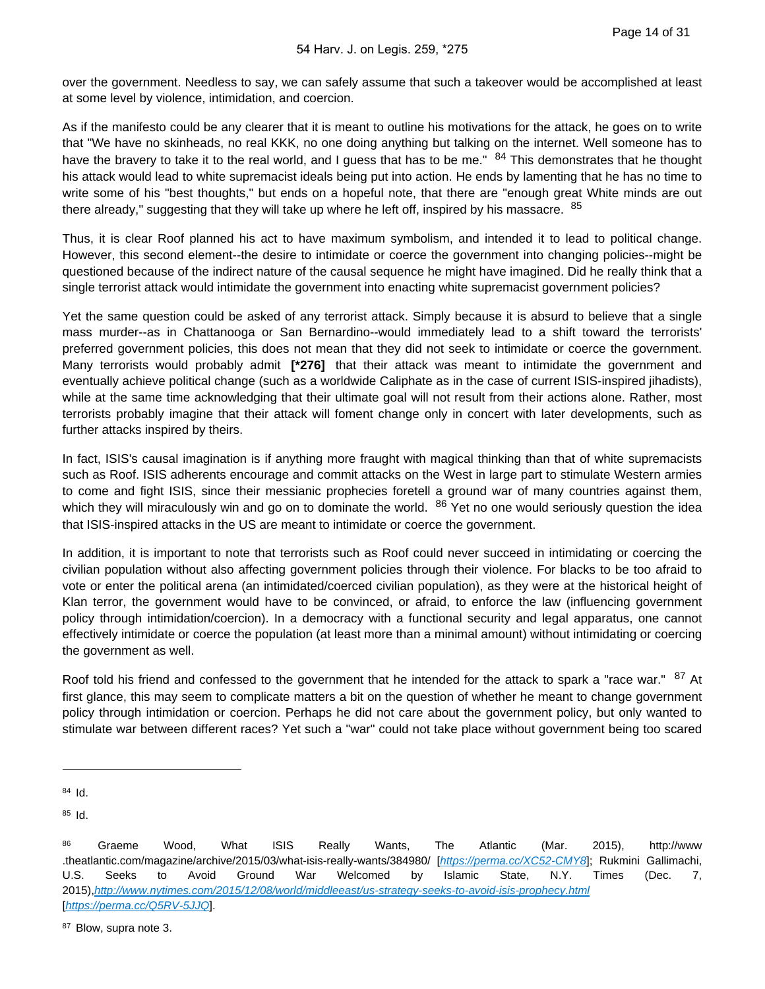over the government. Needless to say, we can safely assume that such a takeover would be accomplished at least at some level by violence, intimidation, and coercion.

As if the manifesto could be any clearer that it is meant to outline his motivations for the attack, he goes on to write that "We have no skinheads, no real KKK, no one doing anything but talking on the internet. Well someone has to have the bravery to take it to the real world, and I guess that has to be me." <sup>84</sup> This demonstrates that he thought his attack would lead to white supremacist ideals being put into action. He ends by lamenting that he has no time to write some of his "best thoughts," but ends on a hopeful note, that there are "enough great White minds are out there already," suggesting that they will take up where he left off, inspired by his massacre. <sup>85</sup>

Thus, it is clear Roof planned his act to have maximum symbolism, and intended it to lead to political change. However, this second element--the desire to intimidate or coerce the government into changing policies--might be questioned because of the indirect nature of the causal sequence he might have imagined. Did he really think that a single terrorist attack would intimidate the government into enacting white supremacist government policies?

Yet the same question could be asked of any terrorist attack. Simply because it is absurd to believe that a single mass murder--as in Chattanooga or San Bernardino--would immediately lead to a shift toward the terrorists' preferred government policies, this does not mean that they did not seek to intimidate or coerce the government. Many terrorists would probably admit **[\*276]** that their attack was meant to intimidate the government and eventually achieve political change (such as a worldwide Caliphate as in the case of current ISIS-inspired jihadists), while at the same time acknowledging that their ultimate goal will not result from their actions alone. Rather, most terrorists probably imagine that their attack will foment change only in concert with later developments, such as further attacks inspired by theirs.

In fact, ISIS's causal imagination is if anything more fraught with magical thinking than that of white supremacists such as Roof. ISIS adherents encourage and commit attacks on the West in large part to stimulate Western armies to come and fight ISIS, since their messianic prophecies foretell a ground war of many countries against them, which they will miraculously win and go on to dominate the world. <sup>86</sup> Yet no one would seriously question the idea that ISIS-inspired attacks in the US are meant to intimidate or coerce the government.

In addition, it is important to note that terrorists such as Roof could never succeed in intimidating or coercing the civilian population without also affecting government policies through their violence. For blacks to be too afraid to vote or enter the political arena (an intimidated/coerced civilian population), as they were at the historical height of Klan terror, the government would have to be convinced, or afraid, to enforce the law (influencing government policy through intimidation/coercion). In a democracy with a functional security and legal apparatus, one cannot effectively intimidate or coerce the population (at least more than a minimal amount) without intimidating or coercing the government as well.

Roof told his friend and confessed to the government that he intended for the attack to spark a "race war." <sup>87</sup> At first glance, this may seem to complicate matters a bit on the question of whether he meant to change government policy through intimidation or coercion. Perhaps he did not care about the government policy, but only wanted to stimulate war between different races? Yet such a "war" could not take place without government being too scared

 $84$  Id.

<sup>&</sup>lt;sup>86</sup> Graeme Wood, What ISIS Really Wants, The Atlantic (Mar. 2015), http://www .theatlantic.com/magazine/archive/2015/03/what-isis-really-wants/384980/ [<https://perma.cc/XC52-CMY8>]; Rukmini Gallimachi, U.S. Seeks to Avoid Ground War Welcomed by Islamic State, N.Y. Times (Dec. 7, 2015),<http://www.nytimes.com/2015/12/08/world/middleeast/us-strategy-seeks-to-avoid-isis-prophecy.html> [<https://perma.cc/Q5RV-5JJQ>].

<sup>87</sup> Blow, supra note 3.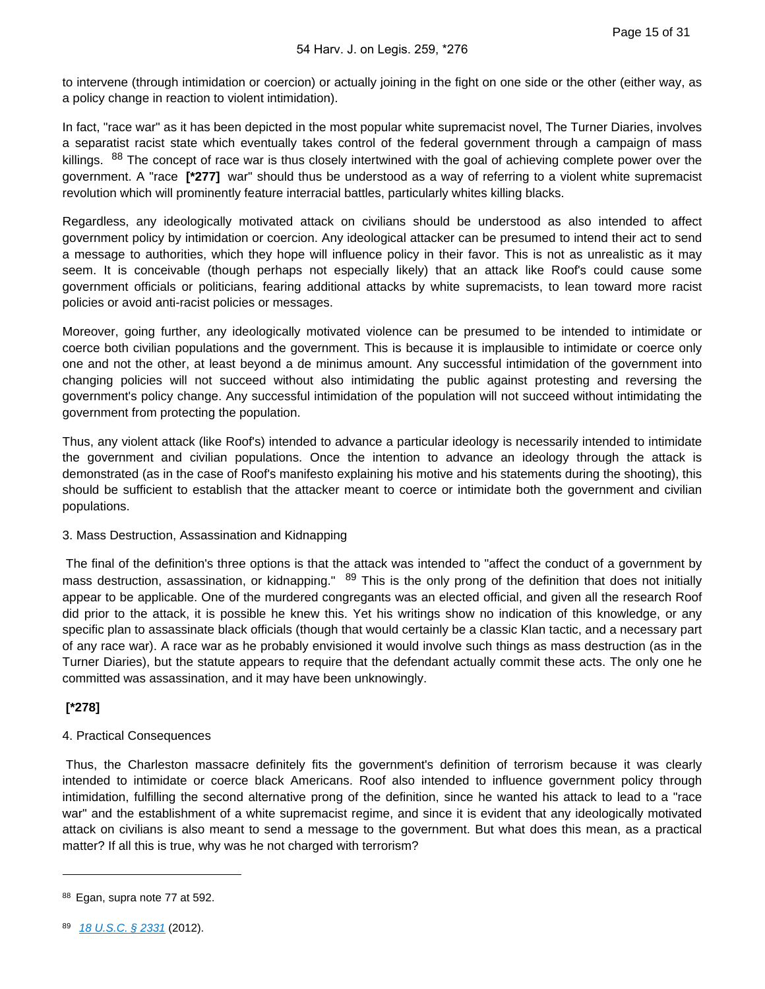to intervene (through intimidation or coercion) or actually joining in the fight on one side or the other (either way, as a policy change in reaction to violent intimidation).

In fact, "race war" as it has been depicted in the most popular white supremacist novel, The Turner Diaries, involves a separatist racist state which eventually takes control of the federal government through a campaign of mass killings. <sup>88</sup> The concept of race war is thus closely intertwined with the goal of achieving complete power over the government. A "race **[\*277]** war" should thus be understood as a way of referring to a violent white supremacist revolution which will prominently feature interracial battles, particularly whites killing blacks.

Regardless, any ideologically motivated attack on civilians should be understood as also intended to affect government policy by intimidation or coercion. Any ideological attacker can be presumed to intend their act to send a message to authorities, which they hope will influence policy in their favor. This is not as unrealistic as it may seem. It is conceivable (though perhaps not especially likely) that an attack like Roof's could cause some government officials or politicians, fearing additional attacks by white supremacists, to lean toward more racist policies or avoid anti-racist policies or messages.

Moreover, going further, any ideologically motivated violence can be presumed to be intended to intimidate or coerce both civilian populations and the government. This is because it is implausible to intimidate or coerce only one and not the other, at least beyond a de minimus amount. Any successful intimidation of the government into changing policies will not succeed without also intimidating the public against protesting and reversing the government's policy change. Any successful intimidation of the population will not succeed without intimidating the government from protecting the population.

Thus, any violent attack (like Roof's) intended to advance a particular ideology is necessarily intended to intimidate the government and civilian populations. Once the intention to advance an ideology through the attack is demonstrated (as in the case of Roof's manifesto explaining his motive and his statements during the shooting), this should be sufficient to establish that the attacker meant to coerce or intimidate both the government and civilian populations.

#### 3. Mass Destruction, Assassination and Kidnapping

 The final of the definition's three options is that the attack was intended to "affect the conduct of a government by mass destruction, assassination, or kidnapping." <sup>89</sup> This is the only prong of the definition that does not initially appear to be applicable. One of the murdered congregants was an elected official, and given all the research Roof did prior to the attack, it is possible he knew this. Yet his writings show no indication of this knowledge, or any specific plan to assassinate black officials (though that would certainly be a classic Klan tactic, and a necessary part of any race war). A race war as he probably envisioned it would involve such things as mass destruction (as in the Turner Diaries), but the statute appears to require that the defendant actually commit these acts. The only one he committed was assassination, and it may have been unknowingly.

# **[\*278]**

# 4. Practical Consequences

 Thus, the Charleston massacre definitely fits the government's definition of terrorism because it was clearly intended to intimidate or coerce black Americans. Roof also intended to influence government policy through intimidation, fulfilling the second alternative prong of the definition, since he wanted his attack to lead to a "race war" and the establishment of a white supremacist regime, and since it is evident that any ideologically motivated attack on civilians is also meant to send a message to the government. But what does this mean, as a practical matter? If all this is true, why was he not charged with terrorism?

89 [18 U.S.C. § 2331](https://advance.lexis.com/api/document?collection=statutes-legislation&id=urn:contentItem:8T90-9RP2-D6RV-H2Y3-00000-00&context=1000516) (2012).

<sup>88</sup> Egan, supra note 77 at 592.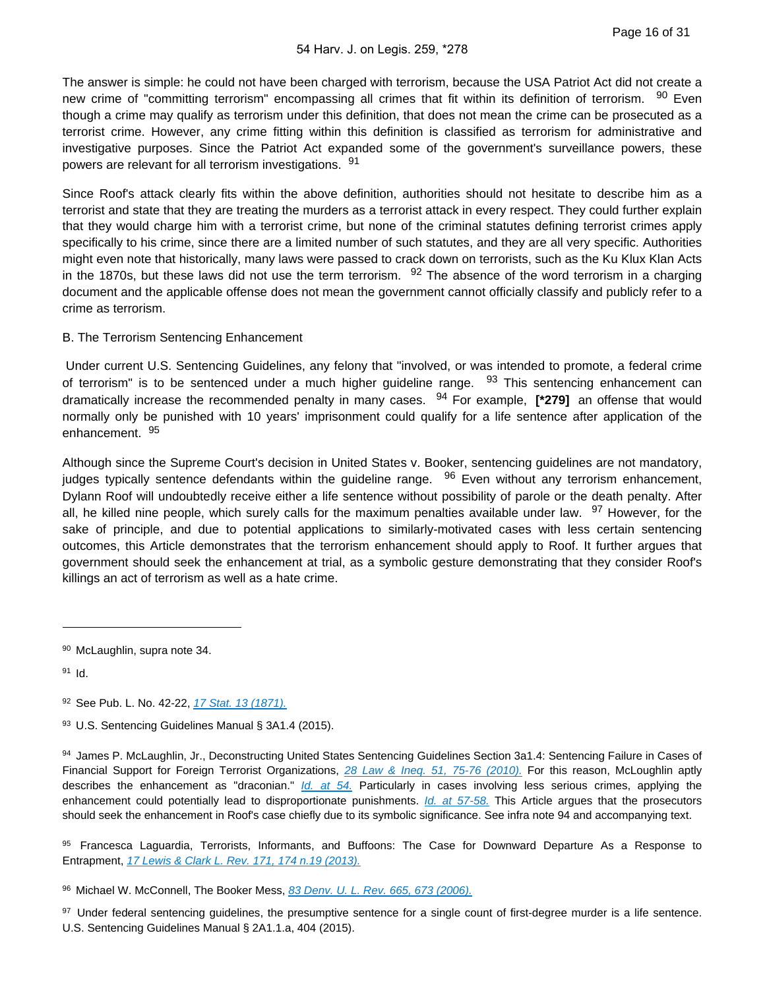#### 54 Harv. J. on Legis. 259, \*278

The answer is simple: he could not have been charged with terrorism, because the USA Patriot Act did not create a new crime of "committing terrorism" encompassing all crimes that fit within its definition of terrorism. <sup>90</sup> Even though a crime may qualify as terrorism under this definition, that does not mean the crime can be prosecuted as a terrorist crime. However, any crime fitting within this definition is classified as terrorism for administrative and investigative purposes. Since the Patriot Act expanded some of the government's surveillance powers, these powers are relevant for all terrorism investigations. <sup>91</sup>

Since Roof's attack clearly fits within the above definition, authorities should not hesitate to describe him as a terrorist and state that they are treating the murders as a terrorist attack in every respect. They could further explain that they would charge him with a terrorist crime, but none of the criminal statutes defining terrorist crimes apply specifically to his crime, since there are a limited number of such statutes, and they are all very specific. Authorities might even note that historically, many laws were passed to crack down on terrorists, such as the Ku Klux Klan Acts in the 1870s, but these laws did not use the term terrorism.  $92$  The absence of the word terrorism in a charging document and the applicable offense does not mean the government cannot officially classify and publicly refer to a crime as terrorism.

## B. The Terrorism Sentencing Enhancement

 Under current U.S. Sentencing Guidelines, any felony that "involved, or was intended to promote, a federal crime of terrorism" is to be sentenced under a much higher guideline range.  $93$  This sentencing enhancement can dramatically increase the recommended penalty in many cases. 94 For example, **[\*279]** an offense that would normally only be punished with 10 years' imprisonment could qualify for a life sentence after application of the enhancement. <sup>95</sup>

Although since the Supreme Court's decision in United States v. Booker, sentencing guidelines are not mandatory, judges typically sentence defendants within the guideline range.  $96$  Even without any terrorism enhancement, Dylann Roof will undoubtedly receive either a life sentence without possibility of parole or the death penalty. After all, he killed nine people, which surely calls for the maximum penalties available under law. <sup>97</sup> However, for the sake of principle, and due to potential applications to similarly-motivated cases with less certain sentencing outcomes, this Article demonstrates that the terrorism enhancement should apply to Roof. It further argues that government should seek the enhancement at trial, as a symbolic gesture demonstrating that they consider Roof's killings an act of terrorism as well as a hate crime.

90 McLaughlin, supra note 34.

 $91$  Id.

92 See Pub. L. No. 42-22, [17 Stat. 13 \(1871\).](https://advance.lexis.com/api/document?collection=statutes-legislation&id=urn:contentItem:5C7R-8030-01XN-S3B6-00000-00&context=1000516)

93 U.S. Sentencing Guidelines Manual § 3A1.4 (2015).

94 James P. McLaughlin, Jr., Deconstructing United States Sentencing Guidelines Section 3a1.4: Sentencing Failure in Cases of Financial Support for Foreign Terrorist Organizations, [28 Law & Ineq. 51, 75-76 \(2010\).](https://advance.lexis.com/api/document?collection=analytical-materials&id=urn:contentItem:4YFV-JD00-00CV-704N-00000-00&context=1000516) For this reason, McLoughlin aptly describes the enhancement as "draconian."  $\frac{Id.}{d}$  at 54. Particularly in cases involving less serious crimes, applying the enhancement could potentially lead to disproportionate punishments. [Id. at 57-58.](https://advance.lexis.com/api/document?collection=analytical-materials&id=urn:contentItem:4YFV-JD00-00CV-704N-00000-00&context=1000516) This Article argues that the prosecutors should seek the enhancement in Roof's case chiefly due to its symbolic significance. See infra note 94 and accompanying text.

95 Francesca Laguardia, Terrorists, Informants, and Buffoons: The Case for Downward Departure As a Response to Entrapment, [17 Lewis & Clark L. Rev. 171, 174 n.19 \(2013\).](https://advance.lexis.com/api/document?collection=analytical-materials&id=urn:contentItem:57XF-PCR0-00CW-50D1-00000-00&context=1000516)

96 Michael W. McConnell, The Booker Mess, [83 Denv. U. L. Rev. 665, 673 \(2006\).](https://advance.lexis.com/api/document?collection=analytical-materials&id=urn:contentItem:4JR0-ST40-00CT-Y01S-00000-00&context=1000516)

97 Under federal sentencing guidelines, the presumptive sentence for a single count of first-degree murder is a life sentence. U.S. Sentencing Guidelines Manual § 2A1.1.a, 404 (2015).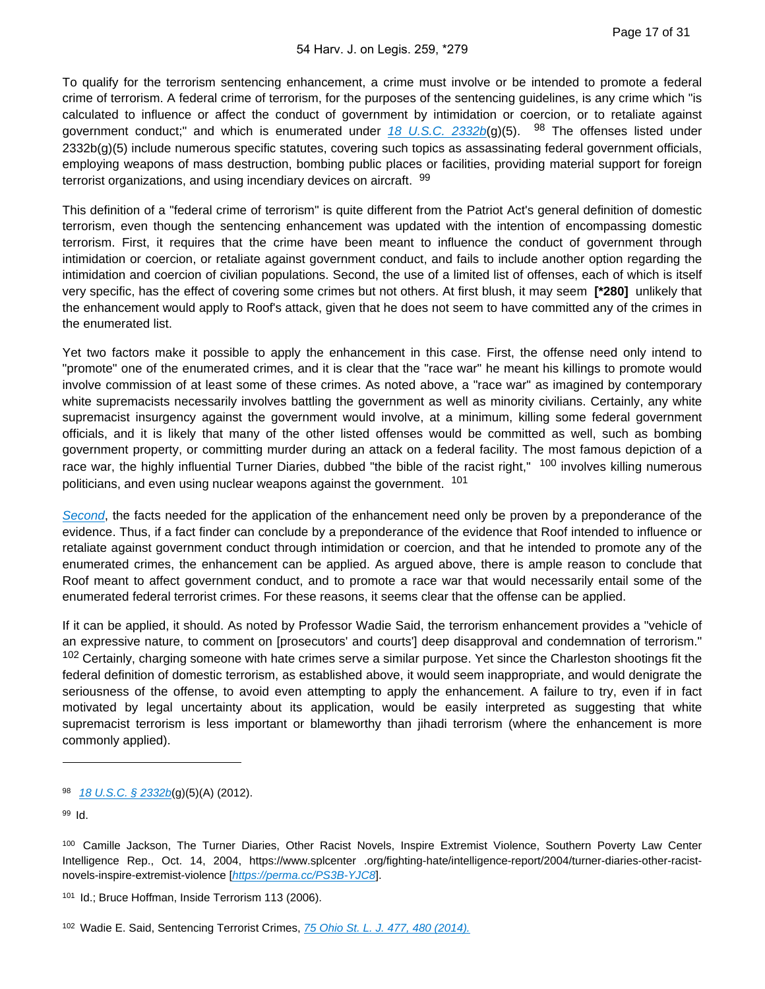To qualify for the terrorism sentencing enhancement, a crime must involve or be intended to promote a federal crime of terrorism. A federal crime of terrorism, for the purposes of the sentencing guidelines, is any crime which "is calculated to influence or affect the conduct of government by intimidation or coercion, or to retaliate against government conduct;" and which is enumerated under  $18$  U.S.C.  $2332b(q)(5)$ . <sup>98</sup> The offenses listed under 2332b(g)(5) include numerous specific statutes, covering such topics as assassinating federal government officials, employing weapons of mass destruction, bombing public places or facilities, providing material support for foreign terrorist organizations, and using incendiary devices on aircraft. <sup>99</sup>

This definition of a "federal crime of terrorism" is quite different from the Patriot Act's general definition of domestic terrorism, even though the sentencing enhancement was updated with the intention of encompassing domestic terrorism. First, it requires that the crime have been meant to influence the conduct of government through intimidation or coercion, or retaliate against government conduct, and fails to include another option regarding the intimidation and coercion of civilian populations. Second, the use of a limited list of offenses, each of which is itself very specific, has the effect of covering some crimes but not others. At first blush, it may seem **[\*280]** unlikely that the enhancement would apply to Roof's attack, given that he does not seem to have committed any of the crimes in the enumerated list.

Yet two factors make it possible to apply the enhancement in this case. First, the offense need only intend to "promote" one of the enumerated crimes, and it is clear that the "race war" he meant his killings to promote would involve commission of at least some of these crimes. As noted above, a "race war" as imagined by contemporary white supremacists necessarily involves battling the government as well as minority civilians. Certainly, any white supremacist insurgency against the government would involve, at a minimum, killing some federal government officials, and it is likely that many of the other listed offenses would be committed as well, such as bombing government property, or committing murder during an attack on a federal facility. The most famous depiction of a race war, the highly influential Turner Diaries, dubbed "the bible of the racist right," <sup>100</sup> involves killing numerous politicians, and even using nuclear weapons against the government. <sup>101</sup>

[Second](https://advance.lexis.com/api/document?collection=statutes-legislation&id=urn:contentItem:8T9R-T352-D6RV-H379-00000-00&context=1000516), the facts needed for the application of the enhancement need only be proven by a preponderance of the evidence. Thus, if a fact finder can conclude by a preponderance of the evidence that Roof intended to influence or retaliate against government conduct through intimidation or coercion, and that he intended to promote any of the enumerated crimes, the enhancement can be applied. As argued above, there is ample reason to conclude that Roof meant to affect government conduct, and to promote a race war that would necessarily entail some of the enumerated federal terrorist crimes. For these reasons, it seems clear that the offense can be applied.

If it can be applied, it should. As noted by Professor Wadie Said, the terrorism enhancement provides a "vehicle of an expressive nature, to comment on [prosecutors' and courts'] deep disapproval and condemnation of terrorism." <sup>102</sup> Certainly, charging someone with hate crimes serve a similar purpose. Yet since the Charleston shootings fit the federal definition of domestic terrorism, as established above, it would seem inappropriate, and would denigrate the seriousness of the offense, to avoid even attempting to apply the enhancement. A failure to try, even if in fact motivated by legal uncertainty about its application, would be easily interpreted as suggesting that white supremacist terrorism is less important or blameworthy than jihadi terrorism (where the enhancement is more commonly applied).

<sup>98</sup> [18 U.S.C. § 2332b](https://advance.lexis.com/api/document?collection=statutes-legislation&id=urn:contentItem:8SG9-5042-D6RV-H0X8-00000-00&context=1000516)(g)(5)(A) (2012).

<sup>100</sup> Camille Jackson, The Turner Diaries, Other Racist Novels, Inspire Extremist Violence, Southern Poverty Law Center Intelligence Rep., Oct. 14, 2004, https://www.splcenter .org/fighting-hate/intelligence-report/2004/turner-diaries-other-racistnovels-inspire-extremist-violence [<https://perma.cc/PS3B-YJC8>].

<sup>101</sup> Id.; Bruce Hoffman, Inside Terrorism 113 (2006).

<sup>102</sup> Wadie E. Said, Sentencing Terrorist Crimes, [75 Ohio St. L. J. 477, 480 \(2014\).](https://advance.lexis.com/api/document?collection=analytical-materials&id=urn:contentItem:5CT9-82G0-00CW-0036-00000-00&context=1000516)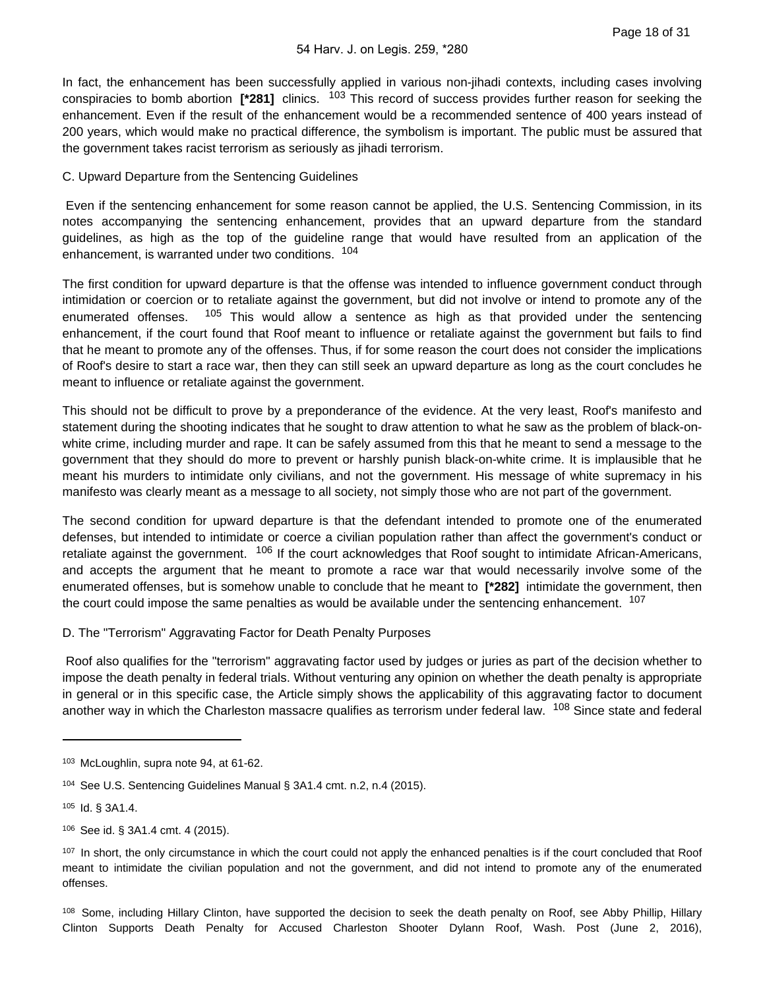In fact, the enhancement has been successfully applied in various non-jihadi contexts, including cases involving conspiracies to bomb abortion **[\*281]** clinics. 103 This record of success provides further reason for seeking the enhancement. Even if the result of the enhancement would be a recommended sentence of 400 years instead of 200 years, which would make no practical difference, the symbolism is important. The public must be assured that the government takes racist terrorism as seriously as jihadi terrorism.

#### C. Upward Departure from the Sentencing Guidelines

 Even if the sentencing enhancement for some reason cannot be applied, the U.S. Sentencing Commission, in its notes accompanying the sentencing enhancement, provides that an upward departure from the standard guidelines, as high as the top of the guideline range that would have resulted from an application of the enhancement, is warranted under two conditions. <sup>104</sup>

The first condition for upward departure is that the offense was intended to influence government conduct through intimidation or coercion or to retaliate against the government, but did not involve or intend to promote any of the enumerated offenses. <sup>105</sup> This would allow a sentence as high as that provided under the sentencing enhancement, if the court found that Roof meant to influence or retaliate against the government but fails to find that he meant to promote any of the offenses. Thus, if for some reason the court does not consider the implications of Roof's desire to start a race war, then they can still seek an upward departure as long as the court concludes he meant to influence or retaliate against the government.

This should not be difficult to prove by a preponderance of the evidence. At the very least, Roof's manifesto and statement during the shooting indicates that he sought to draw attention to what he saw as the problem of black-onwhite crime, including murder and rape. It can be safely assumed from this that he meant to send a message to the government that they should do more to prevent or harshly punish black-on-white crime. It is implausible that he meant his murders to intimidate only civilians, and not the government. His message of white supremacy in his manifesto was clearly meant as a message to all society, not simply those who are not part of the government.

The second condition for upward departure is that the defendant intended to promote one of the enumerated defenses, but intended to intimidate or coerce a civilian population rather than affect the government's conduct or retaliate against the government. <sup>106</sup> If the court acknowledges that Roof sought to intimidate African-Americans, and accepts the argument that he meant to promote a race war that would necessarily involve some of the enumerated offenses, but is somehow unable to conclude that he meant to **[\*282]** intimidate the government, then the court could impose the same penalties as would be available under the sentencing enhancement. <sup>107</sup>

#### D. The "Terrorism" Aggravating Factor for Death Penalty Purposes

 Roof also qualifies for the "terrorism" aggravating factor used by judges or juries as part of the decision whether to impose the death penalty in federal trials. Without venturing any opinion on whether the death penalty is appropriate in general or in this specific case, the Article simply shows the applicability of this aggravating factor to document another way in which the Charleston massacre qualifies as terrorism under federal law. <sup>108</sup> Since state and federal

108 Some, including Hillary Clinton, have supported the decision to seek the death penalty on Roof, see Abby Phillip, Hillary Clinton Supports Death Penalty for Accused Charleston Shooter Dylann Roof, Wash. Post (June 2, 2016),

<sup>103</sup> McLoughlin, supra note 94, at 61-62.

<sup>&</sup>lt;sup>104</sup> See U.S. Sentencing Guidelines Manual § 3A1.4 cmt. n.2, n.4 (2015).

<sup>105</sup> Id. § 3A1.4.

<sup>106</sup> See id. § 3A1.4 cmt. 4 (2015).

<sup>&</sup>lt;sup>107</sup> In short, the only circumstance in which the court could not apply the enhanced penalties is if the court concluded that Roof meant to intimidate the civilian population and not the government, and did not intend to promote any of the enumerated offenses.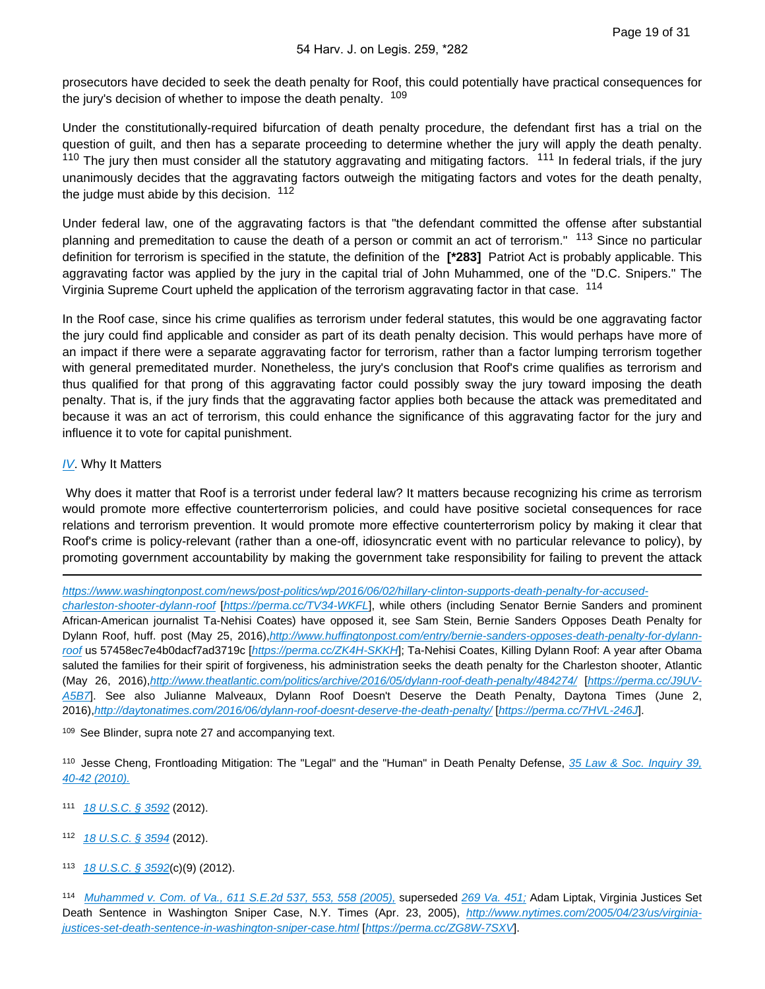prosecutors have decided to seek the death penalty for Roof, this could potentially have practical consequences for the jury's decision of whether to impose the death penalty. <sup>109</sup>

Under the constitutionally-required bifurcation of death penalty procedure, the defendant first has a trial on the question of guilt, and then has a separate proceeding to determine whether the jury will apply the death penalty.  $110$  The jury then must consider all the statutory aggravating and mitigating factors.  $111$  In federal trials, if the jury unanimously decides that the aggravating factors outweigh the mitigating factors and votes for the death penalty, the judge must abide by this decision.  $112$ 

Under federal law, one of the aggravating factors is that "the defendant committed the offense after substantial planning and premeditation to cause the death of a person or commit an act of terrorism." <sup>113</sup> Since no particular definition for terrorism is specified in the statute, the definition of the **[\*283]** Patriot Act is probably applicable. This aggravating factor was applied by the jury in the capital trial of John Muhammed, one of the "D.C. Snipers." The Virginia Supreme Court upheld the application of the terrorism aggravating factor in that case. <sup>114</sup>

In the Roof case, since his crime qualifies as terrorism under federal statutes, this would be one aggravating factor the jury could find applicable and consider as part of its death penalty decision. This would perhaps have more of an impact if there were a separate aggravating factor for terrorism, rather than a factor lumping terrorism together with general premeditated murder. Nonetheless, the jury's conclusion that Roof's crime qualifies as terrorism and thus qualified for that prong of this aggravating factor could possibly sway the jury toward imposing the death penalty. That is, if the jury finds that the aggravating factor applies both because the attack was premeditated and because it was an act of terrorism, this could enhance the significance of this aggravating factor for the jury and influence it to vote for capital punishment.

## [IV](https://advance.lexis.com/api/document?collection=statutes-legislation&id=urn:contentItem:8T9R-T3H2-D6RV-H37G-00000-00&context=1000516). Why It Matters

 Why does it matter that Roof is a terrorist under federal law? It matters because recognizing his crime as terrorism would promote more effective counterterrorism policies, and could have positive societal consequences for race relations and terrorism prevention. It would promote more effective counterterrorism policy by making it clear that Roof's crime is policy-relevant (rather than a one-off, idiosyncratic event with no particular relevance to policy), by promoting government accountability by making the government take responsibility for failing to prevent the attack

[https://www.washingtonpost.com/news/post-politics/wp/2016/06/02/hillary-clinton-supports-death-penalty-for-accused](https://www.washingtonpost.com/news/post-politics/wp/2016/06/02/hillary-clinton-supports-death-penalty-for-accused-charleston-shooter-dylann-roof)[charleston-shooter-dylann-roof](https://www.washingtonpost.com/news/post-politics/wp/2016/06/02/hillary-clinton-supports-death-penalty-for-accused-charleston-shooter-dylann-roof) [<https://perma.cc/TV34-WKFL>], while others (including Senator Bernie Sanders and prominent African-American journalist Ta-Nehisi Coates) have opposed it, see Sam Stein, Bernie Sanders Opposes Death Penalty for Dylann Roof, huff. post (May 25, 2016),[http://www.huffingtonpost.com/entry/bernie-sanders-opposes-death-penalty-for-dylann](http://www.huffingtonpost.com/entry/bernie-sanders-opposes-death-penalty-for-dylann-roof)[roof](http://www.huffingtonpost.com/entry/bernie-sanders-opposes-death-penalty-for-dylann-roof) us 57458ec7e4b0dacf7ad3719c [<https://perma.cc/ZK4H-SKKH>]; Ta-Nehisi Coates, Killing Dylann Roof: A year after Obama saluted the families for their spirit of forgiveness, his administration seeks the death penalty for the Charleston shooter, Atlantic (May 26, 2016),<http://www.theatlantic.com/politics/archive/2016/05/dylann-roof-death-penalty/484274/> [[https://perma.cc/J9UV-](https://perma.cc/J9UV-A5B7)[A5B7](https://perma.cc/J9UV-A5B7). See also Julianne Malveaux, Dylann Roof Doesn't Deserve the Death Penalty, Daytona Times (June 2, 2016),<http://daytonatimes.com/2016/06/dylann-roof-doesnt-deserve-the-death-penalty/> [<https://perma.cc/7HVL-246J>].

109 See Blinder, supra note 27 and accompanying text.

110 Jesse Cheng, Frontloading Mitigation: The "Legal" and the "Human" in Death Penalty Defense, 35 Law & Soc. Inquiry 39, [40-42 \(2010\).](https://advance.lexis.com/api/document?collection=analytical-materials&id=urn:contentItem:4YJM-29H0-00CV-S051-00000-00&context=1000516)

- 111 [18 U.S.C. § 3592](https://advance.lexis.com/api/document?collection=statutes-legislation&id=urn:contentItem:8SG9-5042-D6RV-H1DB-00000-00&context=1000516) (2012).
- 112 [18 U.S.C. § 3594](https://advance.lexis.com/api/document?collection=statutes-legislation&id=urn:contentItem:8SG9-5042-D6RV-H1DD-00000-00&context=1000516) (2012).
- 113 [18 U.S.C. § 3592](https://advance.lexis.com/api/document?collection=statutes-legislation&id=urn:contentItem:8SG9-5042-D6RV-H1DB-00000-00&context=1000516)(c)(9) (2012).

<sup>114</sup> [Muhammed v. Com. of Va., 611 S.E.2d 537, 553, 558 \(2005\),](https://advance.lexis.com/api/document?collection=cases&id=urn:contentItem:4G0W-9NW0-0039-42P8-00000-00&context=1000516) superseded [269 Va. 451;](https://advance.lexis.com/api/document?collection=cases&id=urn:contentItem:4HCM-6FC0-0039-41XK-00000-00&context=1000516) Adam Liptak, Virginia Justices Set Death Sentence in Washington Sniper Case, N.Y. Times (Apr. 23, 2005), [http://www.nytimes.com/2005/04/23/us/virginia](http://www.nytimes.com/2005/04/23/us/virginia-justices-set-death-sentence-in-washington-sniper-case.html)[justices-set-death-sentence-in-washington-sniper-case.html](http://www.nytimes.com/2005/04/23/us/virginia-justices-set-death-sentence-in-washington-sniper-case.html) [<https://perma.cc/ZG8W-7SXV>].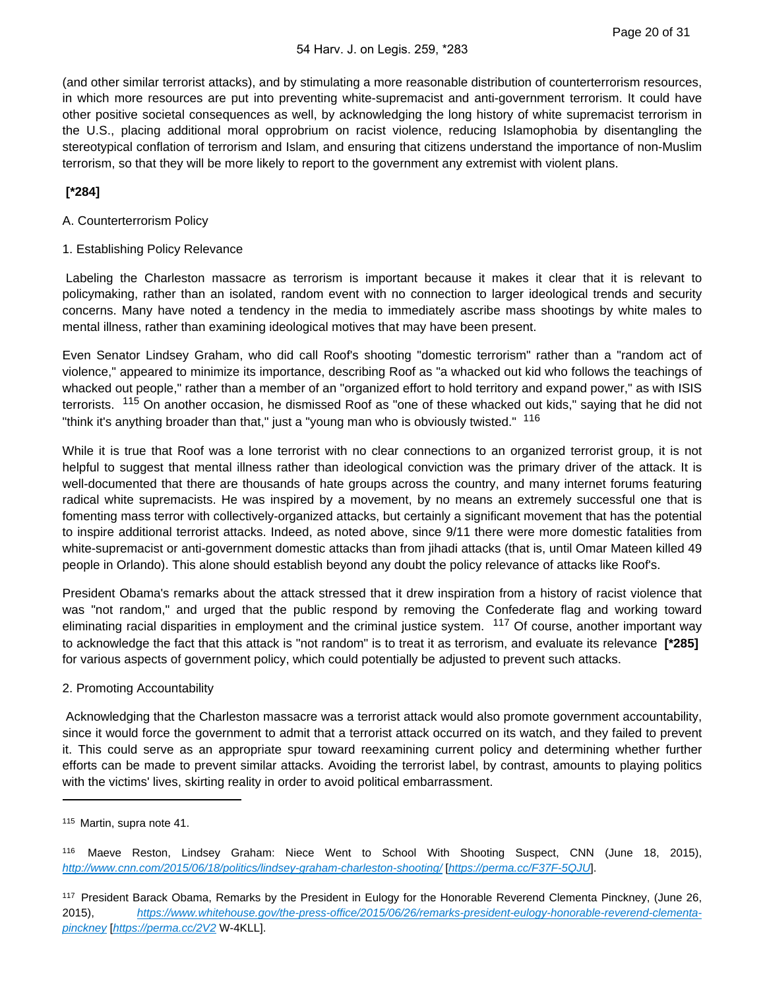(and other similar terrorist attacks), and by stimulating a more reasonable distribution of counterterrorism resources, in which more resources are put into preventing white-supremacist and anti-government terrorism. It could have other positive societal consequences as well, by acknowledging the long history of white supremacist terrorism in the U.S., placing additional moral opprobrium on racist violence, reducing Islamophobia by disentangling the stereotypical conflation of terrorism and Islam, and ensuring that citizens understand the importance of non-Muslim terrorism, so that they will be more likely to report to the government any extremist with violent plans.

# **[\*284]**

## A. Counterterrorism Policy

1. Establishing Policy Relevance

 Labeling the Charleston massacre as terrorism is important because it makes it clear that it is relevant to policymaking, rather than an isolated, random event with no connection to larger ideological trends and security concerns. Many have noted a tendency in the media to immediately ascribe mass shootings by white males to mental illness, rather than examining ideological motives that may have been present.

Even Senator Lindsey Graham, who did call Roof's shooting "domestic terrorism" rather than a "random act of violence," appeared to minimize its importance, describing Roof as "a whacked out kid who follows the teachings of whacked out people," rather than a member of an "organized effort to hold territory and expand power," as with ISIS terrorists. 115 On another occasion, he dismissed Roof as "one of these whacked out kids," saying that he did not "think it's anything broader than that," just a "young man who is obviously twisted." <sup>116</sup>

While it is true that Roof was a lone terrorist with no clear connections to an organized terrorist group, it is not helpful to suggest that mental illness rather than ideological conviction was the primary driver of the attack. It is well-documented that there are thousands of hate groups across the country, and many internet forums featuring radical white supremacists. He was inspired by a movement, by no means an extremely successful one that is fomenting mass terror with collectively-organized attacks, but certainly a significant movement that has the potential to inspire additional terrorist attacks. Indeed, as noted above, since 9/11 there were more domestic fatalities from white-supremacist or anti-government domestic attacks than from jihadi attacks (that is, until Omar Mateen killed 49 people in Orlando). This alone should establish beyond any doubt the policy relevance of attacks like Roof's.

President Obama's remarks about the attack stressed that it drew inspiration from a history of racist violence that was "not random," and urged that the public respond by removing the Confederate flag and working toward eliminating racial disparities in employment and the criminal justice system. <sup>117</sup> Of course, another important way to acknowledge the fact that this attack is "not random" is to treat it as terrorism, and evaluate its relevance **[\*285]**  for various aspects of government policy, which could potentially be adjusted to prevent such attacks.

#### 2. Promoting Accountability

 Acknowledging that the Charleston massacre was a terrorist attack would also promote government accountability, since it would force the government to admit that a terrorist attack occurred on its watch, and they failed to prevent it. This could serve as an appropriate spur toward reexamining current policy and determining whether further efforts can be made to prevent similar attacks. Avoiding the terrorist label, by contrast, amounts to playing politics with the victims' lives, skirting reality in order to avoid political embarrassment.

<sup>115</sup> Martin, supra note 41.

<sup>116</sup> Maeve Reston, Lindsey Graham: Niece Went to School With Shooting Suspect, CNN (June 18, 2015), <http://www.cnn.com/2015/06/18/politics/lindsey-graham-charleston-shooting/> [<https://perma.cc/F37F-5QJU>].

<sup>117</sup> President Barack Obama, Remarks by the President in Eulogy for the Honorable Reverend Clementa Pinckney, (June 26, 2015), [https://www.whitehouse.gov/the-press-office/2015/06/26/remarks-president-eulogy-honorable-reverend-clementa](https://www.whitehouse.gov/the-press-office/2015/06/26/remarks-president-eulogy-honorable-reverend-clementa-pinckney)[pinckney](https://www.whitehouse.gov/the-press-office/2015/06/26/remarks-president-eulogy-honorable-reverend-clementa-pinckney) [<https://perma.cc/2V2> W-4KLL].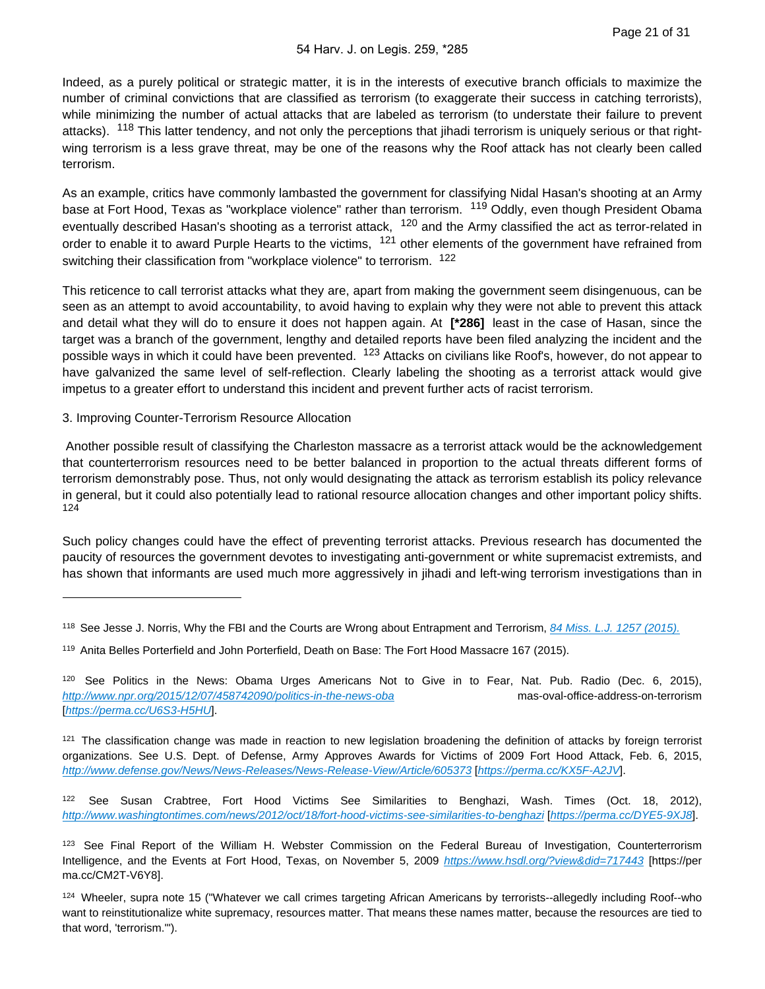Indeed, as a purely political or strategic matter, it is in the interests of executive branch officials to maximize the number of criminal convictions that are classified as terrorism (to exaggerate their success in catching terrorists), while minimizing the number of actual attacks that are labeled as terrorism (to understate their failure to prevent attacks). <sup>118</sup> This latter tendency, and not only the perceptions that jihadi terrorism is uniquely serious or that rightwing terrorism is a less grave threat, may be one of the reasons why the Roof attack has not clearly been called terrorism.

As an example, critics have commonly lambasted the government for classifying Nidal Hasan's shooting at an Army base at Fort Hood, Texas as "workplace violence" rather than terrorism. 119 Oddly, even though President Obama eventually described Hasan's shooting as a terrorist attack, <sup>120</sup> and the Army classified the act as terror-related in order to enable it to award Purple Hearts to the victims, <sup>121</sup> other elements of the government have refrained from switching their classification from "workplace violence" to terrorism. <sup>122</sup>

This reticence to call terrorist attacks what they are, apart from making the government seem disingenuous, can be seen as an attempt to avoid accountability, to avoid having to explain why they were not able to prevent this attack and detail what they will do to ensure it does not happen again. At **[\*286]** least in the case of Hasan, since the target was a branch of the government, lengthy and detailed reports have been filed analyzing the incident and the possible ways in which it could have been prevented. 123 Attacks on civilians like Roof's, however, do not appear to have galvanized the same level of self-reflection. Clearly labeling the shooting as a terrorist attack would give impetus to a greater effort to understand this incident and prevent further acts of racist terrorism.

## 3. Improving Counter-Terrorism Resource Allocation

 Another possible result of classifying the Charleston massacre as a terrorist attack would be the acknowledgement that counterterrorism resources need to be better balanced in proportion to the actual threats different forms of terrorism demonstrably pose. Thus, not only would designating the attack as terrorism establish its policy relevance in general, but it could also potentially lead to rational resource allocation changes and other important policy shifts. 124

Such policy changes could have the effect of preventing terrorist attacks. Previous research has documented the paucity of resources the government devotes to investigating anti-government or white supremacist extremists, and has shown that informants are used much more aggressively in jihadi and left-wing terrorism investigations than in

<sup>118</sup> See Jesse J. Norris, Why the FBI and the Courts are Wrong about Entrapment and Terrorism, [84 Miss. L.J. 1257 \(2015\).](https://advance.lexis.com/api/document?collection=analytical-materials&id=urn:contentItem:5GJ3-K3M0-00CW-F17S-00000-00&context=1000516)

<sup>119</sup> Anita Belles Porterfield and John Porterfield, Death on Base: The Fort Hood Massacre 167 (2015).

<sup>120</sup> See Politics in the News: Obama Urges Americans Not to Give in to Fear, Nat. Pub. Radio (Dec. 6, 2015), <http://www.npr.org/2015/12/07/458742090/politics-in-the-news-oba> mas-oval-office-address-on-terrorism [<https://perma.cc/U6S3-H5HU>].

<sup>121</sup> The classification change was made in reaction to new legislation broadening the definition of attacks by foreign terrorist organizations. See U.S. Dept. of Defense, Army Approves Awards for Victims of 2009 Fort Hood Attack, Feb. 6, 2015, <http://www.defense.gov/News/News-Releases/News-Release-View/Article/605373> [<https://perma.cc/KX5F-A2JV>].

<sup>122</sup>See Susan Crabtree, Fort Hood Victims See Similarities to Benghazi, Wash. Times (Oct. 18, 2012), <http://www.washingtontimes.com/news/2012/oct/18/fort-hood-victims-see-similarities-to-benghazi> [<https://perma.cc/DYE5-9XJ8>].

<sup>123</sup> See Final Report of the William H. Webster Commission on the Federal Bureau of Investigation, Counterterrorism Intelligence, and the Events at Fort Hood, Texas, on November 5, 2009 <https://www.hsdl.org/?view&did=717443> [https://per ma.cc/CM2T-V6Y8].

<sup>124</sup> Wheeler, supra note 15 ("Whatever we call crimes targeting African Americans by terrorists--allegedly including Roof--who want to reinstitutionalize white supremacy, resources matter. That means these names matter, because the resources are tied to that word, 'terrorism.'").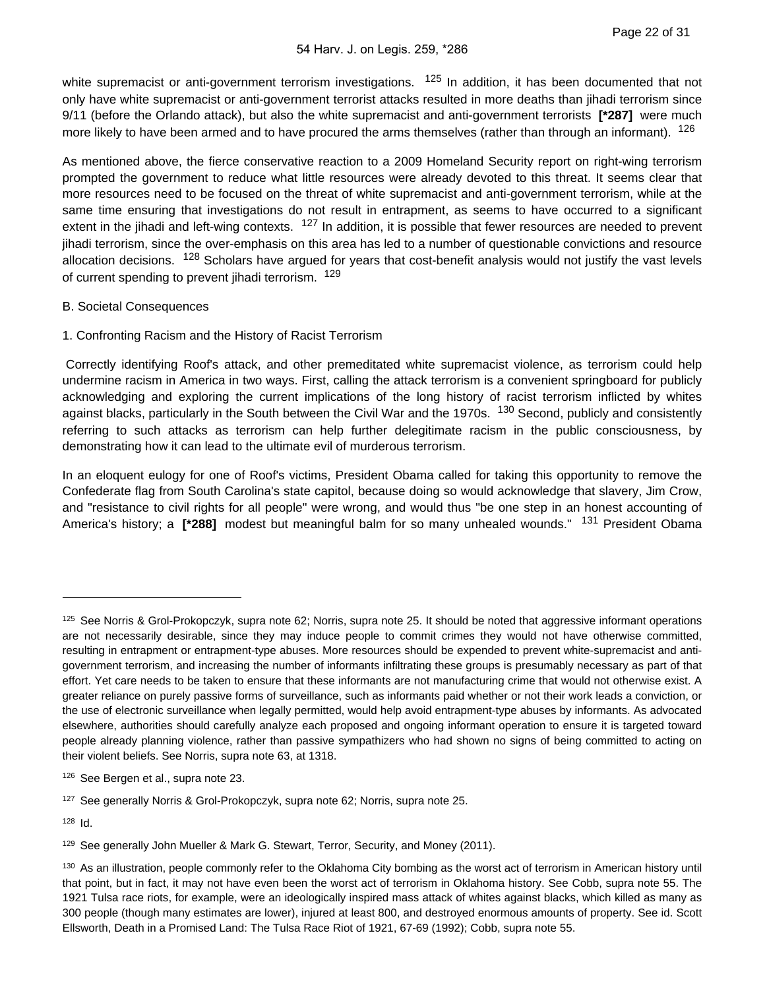white supremacist or anti-government terrorism investigations. <sup>125</sup> In addition, it has been documented that not only have white supremacist or anti-government terrorist attacks resulted in more deaths than jihadi terrorism since 9/11 (before the Orlando attack), but also the white supremacist and anti-government terrorists **[\*287]** were much more likely to have been armed and to have procured the arms themselves (rather than through an informant). <sup>126</sup>

As mentioned above, the fierce conservative reaction to a 2009 Homeland Security report on right-wing terrorism prompted the government to reduce what little resources were already devoted to this threat. It seems clear that more resources need to be focused on the threat of white supremacist and anti-government terrorism, while at the same time ensuring that investigations do not result in entrapment, as seems to have occurred to a significant extent in the jihadi and left-wing contexts. <sup>127</sup> In addition, it is possible that fewer resources are needed to prevent iihadi terrorism, since the over-emphasis on this area has led to a number of questionable convictions and resource allocation decisions. <sup>128</sup> Scholars have argued for years that cost-benefit analysis would not justify the vast levels of current spending to prevent jihadi terrorism. <sup>129</sup>

- B. Societal Consequences
- 1. Confronting Racism and the History of Racist Terrorism

 Correctly identifying Roof's attack, and other premeditated white supremacist violence, as terrorism could help undermine racism in America in two ways. First, calling the attack terrorism is a convenient springboard for publicly acknowledging and exploring the current implications of the long history of racist terrorism inflicted by whites against blacks, particularly in the South between the Civil War and the 1970s. <sup>130</sup> Second, publicly and consistently referring to such attacks as terrorism can help further delegitimate racism in the public consciousness, by demonstrating how it can lead to the ultimate evil of murderous terrorism.

In an eloquent eulogy for one of Roof's victims, President Obama called for taking this opportunity to remove the Confederate flag from South Carolina's state capitol, because doing so would acknowledge that slavery, Jim Crow, and "resistance to civil rights for all people" were wrong, and would thus "be one step in an honest accounting of America's history; a **[\*288]** modest but meaningful balm for so many unhealed wounds." 131 President Obama

<sup>&</sup>lt;sup>125</sup> See Norris & Grol-Prokopczyk, supra note 62; Norris, supra note 25. It should be noted that aggressive informant operations are not necessarily desirable, since they may induce people to commit crimes they would not have otherwise committed, resulting in entrapment or entrapment-type abuses. More resources should be expended to prevent white-supremacist and antigovernment terrorism, and increasing the number of informants infiltrating these groups is presumably necessary as part of that effort. Yet care needs to be taken to ensure that these informants are not manufacturing crime that would not otherwise exist. A greater reliance on purely passive forms of surveillance, such as informants paid whether or not their work leads a conviction, or the use of electronic surveillance when legally permitted, would help avoid entrapment-type abuses by informants. As advocated elsewhere, authorities should carefully analyze each proposed and ongoing informant operation to ensure it is targeted toward people already planning violence, rather than passive sympathizers who had shown no signs of being committed to acting on their violent beliefs. See Norris, supra note 63, at 1318.

<sup>126</sup> See Bergen et al., supra note 23.

<sup>&</sup>lt;sup>127</sup> See generally Norris & Grol-Prokopczyk, supra note 62; Norris, supra note 25.

<sup>129</sup> See generally John Mueller & Mark G. Stewart, Terror, Security, and Money (2011).

<sup>130</sup> As an illustration, people commonly refer to the Oklahoma City bombing as the worst act of terrorism in American history until that point, but in fact, it may not have even been the worst act of terrorism in Oklahoma history. See Cobb, supra note 55. The 1921 Tulsa race riots, for example, were an ideologically inspired mass attack of whites against blacks, which killed as many as 300 people (though many estimates are lower), injured at least 800, and destroyed enormous amounts of property. See id. Scott Ellsworth, Death in a Promised Land: The Tulsa Race Riot of 1921, 67-69 (1992); Cobb, supra note 55.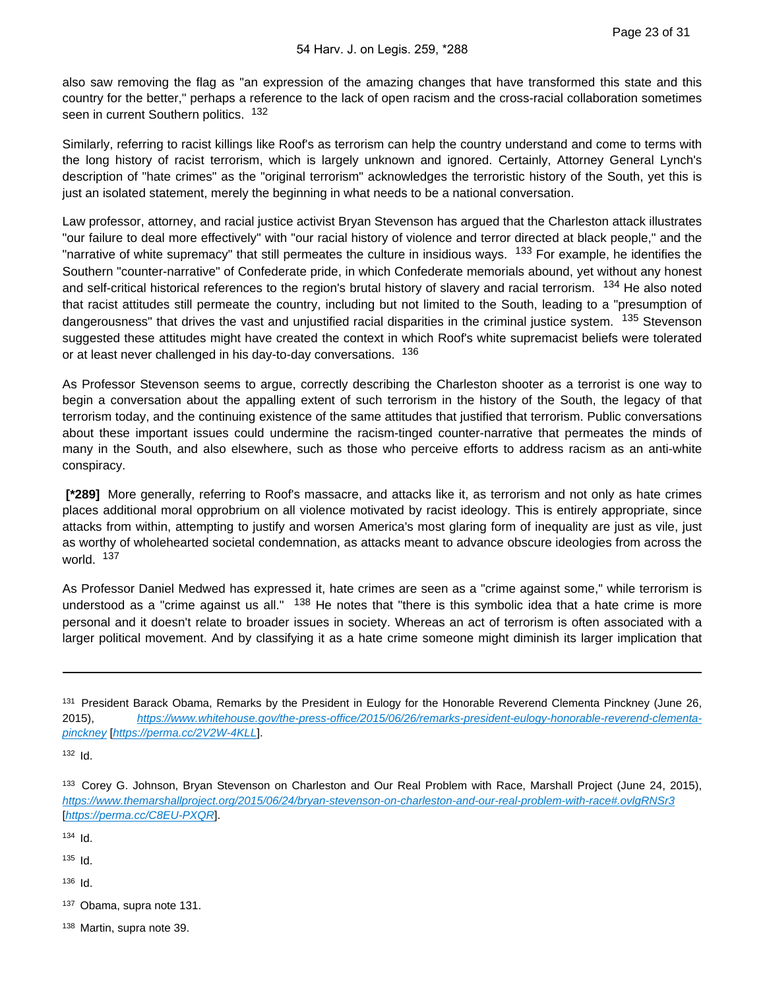also saw removing the flag as "an expression of the amazing changes that have transformed this state and this country for the better," perhaps a reference to the lack of open racism and the cross-racial collaboration sometimes seen in current Southern politics. <sup>132</sup>

Similarly, referring to racist killings like Roof's as terrorism can help the country understand and come to terms with the long history of racist terrorism, which is largely unknown and ignored. Certainly, Attorney General Lynch's description of "hate crimes" as the "original terrorism" acknowledges the terroristic history of the South, yet this is just an isolated statement, merely the beginning in what needs to be a national conversation.

Law professor, attorney, and racial justice activist Bryan Stevenson has argued that the Charleston attack illustrates "our failure to deal more effectively" with "our racial history of violence and terror directed at black people," and the "narrative of white supremacy" that still permeates the culture in insidious ways. <sup>133</sup> For example, he identifies the Southern "counter-narrative" of Confederate pride, in which Confederate memorials abound, yet without any honest and self-critical historical references to the region's brutal history of slavery and racial terrorism. <sup>134</sup> He also noted that racist attitudes still permeate the country, including but not limited to the South, leading to a "presumption of dangerousness" that drives the vast and unjustified racial disparities in the criminal justice system. <sup>135</sup> Stevenson suggested these attitudes might have created the context in which Roof's white supremacist beliefs were tolerated or at least never challenged in his day-to-day conversations. 136

As Professor Stevenson seems to argue, correctly describing the Charleston shooter as a terrorist is one way to begin a conversation about the appalling extent of such terrorism in the history of the South, the legacy of that terrorism today, and the continuing existence of the same attitudes that justified that terrorism. Public conversations about these important issues could undermine the racism-tinged counter-narrative that permeates the minds of many in the South, and also elsewhere, such as those who perceive efforts to address racism as an anti-white conspiracy.

 **[\*289]** More generally, referring to Roof's massacre, and attacks like it, as terrorism and not only as hate crimes places additional moral opprobrium on all violence motivated by racist ideology. This is entirely appropriate, since attacks from within, attempting to justify and worsen America's most glaring form of inequality are just as vile, just as worthy of wholehearted societal condemnation, as attacks meant to advance obscure ideologies from across the world. <sup>137</sup>

As Professor Daniel Medwed has expressed it, hate crimes are seen as a "crime against some," while terrorism is understood as a "crime against us all." <sup>138</sup> He notes that "there is this symbolic idea that a hate crime is more personal and it doesn't relate to broader issues in society. Whereas an act of terrorism is often associated with a larger political movement. And by classifying it as a hate crime someone might diminish its larger implication that

132 $Id$ .

 $134$  Id.

 $135$  Id.

- 137 Obama, supra note 131.
- 138 Martin, supra note 39.

<sup>131</sup> President Barack Obama, Remarks by the President in Eulogy for the Honorable Reverend Clementa Pinckney (June 26, 2015), [https://www.whitehouse.gov/the-press-office/2015/06/26/remarks-president-eulogy-honorable-reverend-clementa](https://www.whitehouse.gov/the-press-office/2015/06/26/remarks-president-eulogy-honorable-reverend-clementa-pinckney)[pinckney](https://www.whitehouse.gov/the-press-office/2015/06/26/remarks-president-eulogy-honorable-reverend-clementa-pinckney) [<https://perma.cc/2V2W-4KLL>].

<sup>133</sup> Corey G. Johnson, Bryan Stevenson on Charleston and Our Real Problem with Race, Marshall Project (June 24, 2015), <https://www.themarshallproject.org/2015/06/24/bryan-stevenson-on-charleston-and-our-real-problem-with-race#.ovlgRNSr3> [<https://perma.cc/C8EU-PXQR>].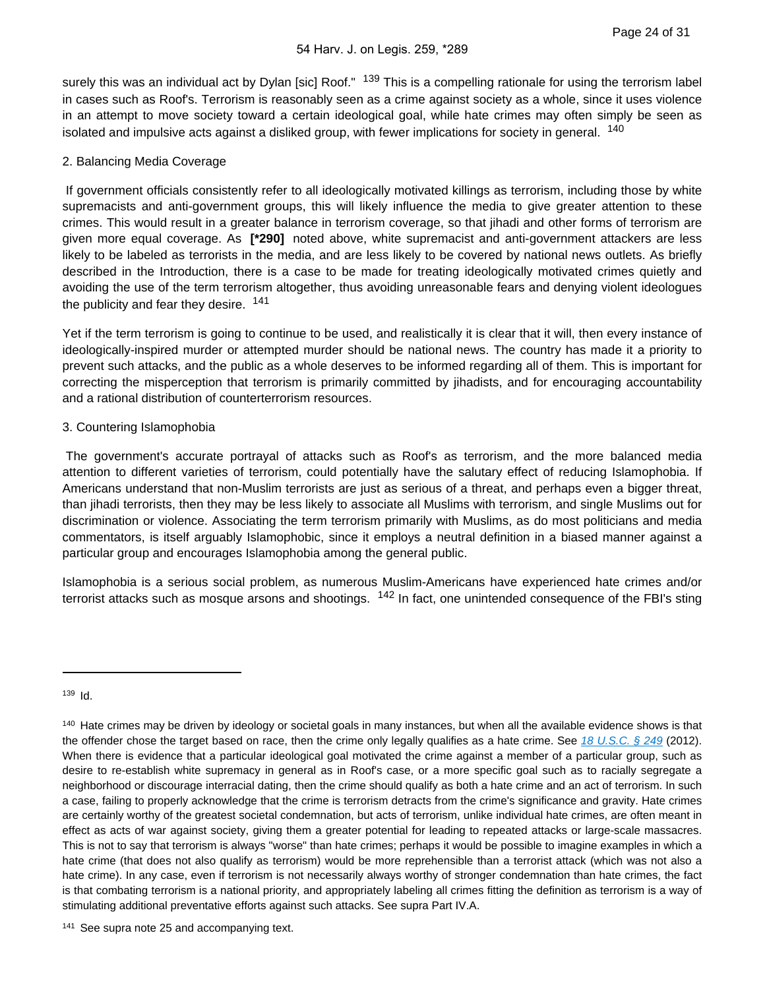surely this was an individual act by Dylan [sic] Roof." <sup>139</sup> This is a compelling rationale for using the terrorism label in cases such as Roof's. Terrorism is reasonably seen as a crime against society as a whole, since it uses violence in an attempt to move society toward a certain ideological goal, while hate crimes may often simply be seen as isolated and impulsive acts against a disliked group, with fewer implications for society in general. <sup>140</sup>

#### 2. Balancing Media Coverage

 If government officials consistently refer to all ideologically motivated killings as terrorism, including those by white supremacists and anti-government groups, this will likely influence the media to give greater attention to these crimes. This would result in a greater balance in terrorism coverage, so that jihadi and other forms of terrorism are given more equal coverage. As **[\*290]** noted above, white supremacist and anti-government attackers are less likely to be labeled as terrorists in the media, and are less likely to be covered by national news outlets. As briefly described in the Introduction, there is a case to be made for treating ideologically motivated crimes quietly and avoiding the use of the term terrorism altogether, thus avoiding unreasonable fears and denying violent ideologues the publicity and fear they desire.  $141$ 

Yet if the term terrorism is going to continue to be used, and realistically it is clear that it will, then every instance of ideologically-inspired murder or attempted murder should be national news. The country has made it a priority to prevent such attacks, and the public as a whole deserves to be informed regarding all of them. This is important for correcting the misperception that terrorism is primarily committed by jihadists, and for encouraging accountability and a rational distribution of counterterrorism resources.

## 3. Countering Islamophobia

 The government's accurate portrayal of attacks such as Roof's as terrorism, and the more balanced media attention to different varieties of terrorism, could potentially have the salutary effect of reducing Islamophobia. If Americans understand that non-Muslim terrorists are just as serious of a threat, and perhaps even a bigger threat, than jihadi terrorists, then they may be less likely to associate all Muslims with terrorism, and single Muslims out for discrimination or violence. Associating the term terrorism primarily with Muslims, as do most politicians and media commentators, is itself arguably Islamophobic, since it employs a neutral definition in a biased manner against a particular group and encourages Islamophobia among the general public.

Islamophobia is a serious social problem, as numerous Muslim-Americans have experienced hate crimes and/or terrorist attacks such as mosque arsons and shootings. <sup>142</sup> In fact, one unintended consequence of the FBI's sting

<sup>&</sup>lt;sup>140</sup> Hate crimes may be driven by ideology or societal goals in many instances, but when all the available evidence shows is that the offender chose the target based on race, then the crime only legally qualifies as a hate crime. See  $18$  U.S.C. § 249 (2012). When there is evidence that a particular ideological goal motivated the crime against a member of a particular group, such as desire to re-establish white supremacy in general as in Roof's case, or a more specific goal such as to racially segregate a neighborhood or discourage interracial dating, then the crime should qualify as both a hate crime and an act of terrorism. In such a case, failing to properly acknowledge that the crime is terrorism detracts from the crime's significance and gravity. Hate crimes are certainly worthy of the greatest societal condemnation, but acts of terrorism, unlike individual hate crimes, are often meant in effect as acts of war against society, giving them a greater potential for leading to repeated attacks or large-scale massacres. This is not to say that terrorism is always "worse" than hate crimes; perhaps it would be possible to imagine examples in which a hate crime (that does not also qualify as terrorism) would be more reprehensible than a terrorist attack (which was not also a hate crime). In any case, even if terrorism is not necessarily always worthy of stronger condemnation than hate crimes, the fact is that combating terrorism is a national priority, and appropriately labeling all crimes fitting the definition as terrorism is a way of stimulating additional preventative efforts against such attacks. See supra Part IV.A.

<sup>141</sup> See supra note 25 and accompanying text.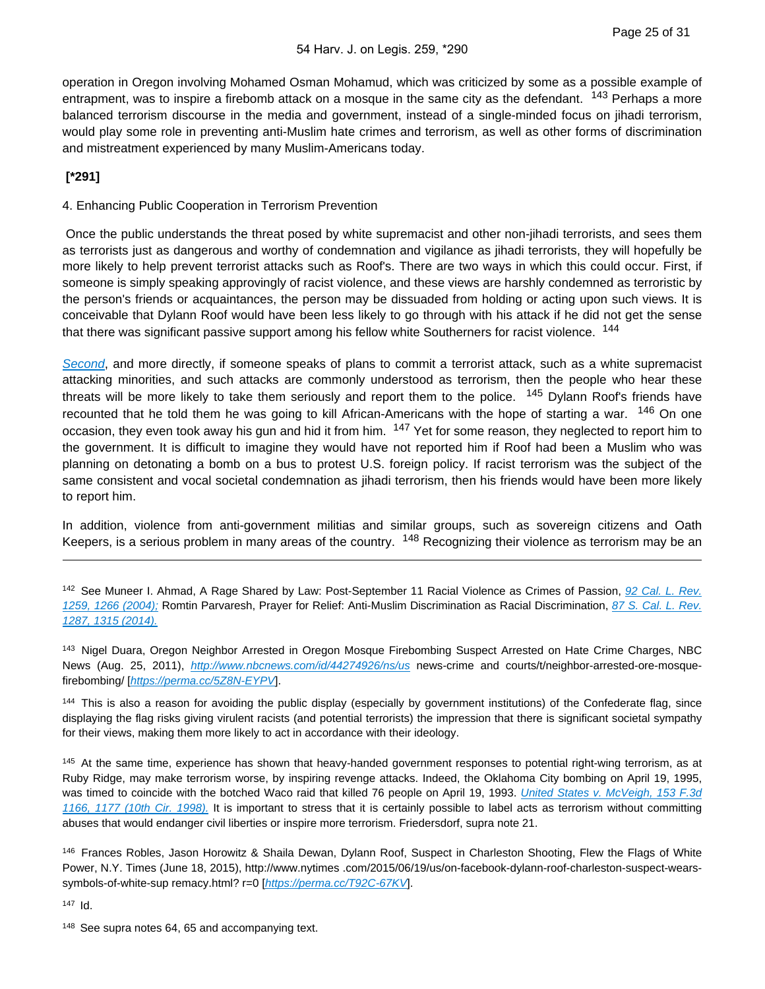operation in Oregon involving Mohamed Osman Mohamud, which was criticized by some as a possible example of entrapment, was to inspire a firebomb attack on a mosque in the same city as the defendant. <sup>143</sup> Perhaps a more balanced terrorism discourse in the media and government, instead of a single-minded focus on jihadi terrorism, would play some role in preventing anti-Muslim hate crimes and terrorism, as well as other forms of discrimination and mistreatment experienced by many Muslim-Americans today.

# **[\*291]**

#### 4. Enhancing Public Cooperation in Terrorism Prevention

 Once the public understands the threat posed by white supremacist and other non-jihadi terrorists, and sees them as terrorists just as dangerous and worthy of condemnation and vigilance as jihadi terrorists, they will hopefully be more likely to help prevent terrorist attacks such as Roof's. There are two ways in which this could occur. First, if someone is simply speaking approvingly of racist violence, and these views are harshly condemned as terroristic by the person's friends or acquaintances, the person may be dissuaded from holding or acting upon such views. It is conceivable that Dylann Roof would have been less likely to go through with his attack if he did not get the sense that there was significant passive support among his fellow white Southerners for racist violence. <sup>144</sup>

[Second](https://advance.lexis.com/api/document?collection=statutes-legislation&id=urn:contentItem:8T9R-T352-D6RV-H379-00000-00&context=1000516), and more directly, if someone speaks of plans to commit a terrorist attack, such as a white supremacist attacking minorities, and such attacks are commonly understood as terrorism, then the people who hear these threats will be more likely to take them seriously and report them to the police. <sup>145</sup> Dylann Roof's friends have recounted that he told them he was going to kill African-Americans with the hope of starting a war. <sup>146</sup> On one occasion, they even took away his gun and hid it from him. <sup>147</sup> Yet for some reason, they neglected to report him to the government. It is difficult to imagine they would have not reported him if Roof had been a Muslim who was planning on detonating a bomb on a bus to protest U.S. foreign policy. If racist terrorism was the subject of the same consistent and vocal societal condemnation as jihadi terrorism, then his friends would have been more likely to report him.

In addition, violence from anti-government militias and similar groups, such as sovereign citizens and Oath Keepers, is a serious problem in many areas of the country. <sup>148</sup> Recognizing their violence as terrorism may be an

142 See Muneer I. Ahmad, A Rage Shared by Law: Post-September 11 Racial Violence as Crimes of Passion, 92 Cal. L. Rev. [1259, 1266 \(2004\);](https://advance.lexis.com/api/document?collection=analytical-materials&id=urn:contentItem:4DPC-8010-00CV-60BH-00000-00&context=1000516) Romtin Parvaresh, Prayer for Relief: Anti-Muslim Discrimination as Racial Discrimination, [87 S. Cal. L. Rev.](https://advance.lexis.com/api/document?collection=analytical-materials&id=urn:contentItem:5DBB-P0H0-02BM-Y1R2-00000-00&context=1000516)  [1287, 1315 \(2014\).](https://advance.lexis.com/api/document?collection=analytical-materials&id=urn:contentItem:5DBB-P0H0-02BM-Y1R2-00000-00&context=1000516)

143 Nigel Duara, Oregon Neighbor Arrested in Oregon Mosque Firebombing Suspect Arrested on Hate Crime Charges, NBC News (Aug. 25, 2011), <http://www.nbcnews.com/id/44274926/ns/us> news-crime and courts/t/neighbor-arrested-ore-mosquefirebombing/ [<https://perma.cc/5Z8N-EYPV>].

<sup>144</sup> This is also a reason for avoiding the public display (especially by government institutions) of the Confederate flag, since displaying the flag risks giving virulent racists (and potential terrorists) the impression that there is significant societal sympathy for their views, making them more likely to act in accordance with their ideology.

<sup>145</sup> At the same time, experience has shown that heavy-handed government responses to potential right-wing terrorism, as at Ruby Ridge, may make terrorism worse, by inspiring revenge attacks. Indeed, the Oklahoma City bombing on April 19, 1995, was timed to coincide with the botched Waco raid that killed 76 people on April 19, 1993. United States v. McVeigh, 153 F.3d [1166, 1177 \(10th Cir. 1998\).](https://advance.lexis.com/api/document?collection=cases&id=urn:contentItem:3TKK-Y9S0-0038-X4DS-00000-00&context=1000516) It is important to stress that it is certainly possible to label acts as terrorism without committing abuses that would endanger civil liberties or inspire more terrorism. Friedersdorf, supra note 21.

146 Frances Robles, Jason Horowitz & Shaila Dewan, Dylann Roof, Suspect in Charleston Shooting, Flew the Flags of White Power, N.Y. Times (June 18, 2015), http://www.nytimes .com/2015/06/19/us/on-facebook-dylann-roof-charleston-suspect-wearssymbols-of-white-sup remacy.html? r=0 [<https://perma.cc/T92C-67KV>].

 $147$  Id.

148 See supra notes 64, 65 and accompanying text.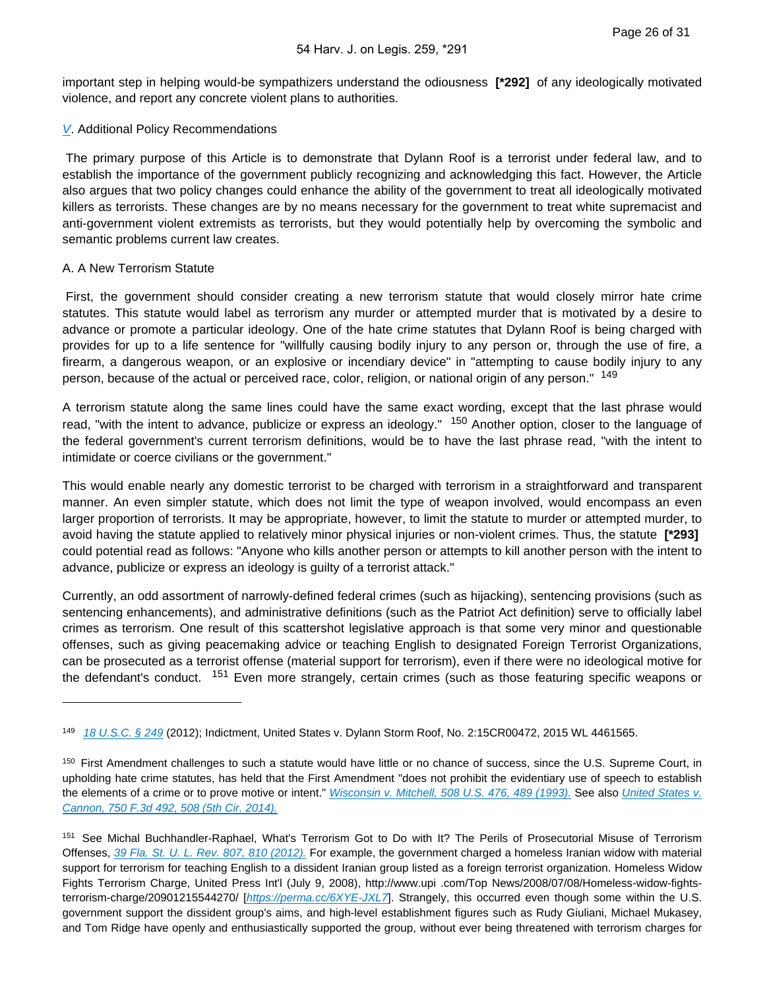important step in helping would-be sympathizers understand the odiousness **[\*292]** of any ideologically motivated violence, and report any concrete violent plans to authorities.

## [V](https://advance.lexis.com/api/document?collection=statutes-legislation&id=urn:contentItem:8T9R-T3X2-8T6X-731X-00000-00&context=1000516). Additional Policy Recommendations

 The primary purpose of this Article is to demonstrate that Dylann Roof is a terrorist under federal law, and to establish the importance of the government publicly recognizing and acknowledging this fact. However, the Article also argues that two policy changes could enhance the ability of the government to treat all ideologically motivated killers as terrorists. These changes are by no means necessary for the government to treat white supremacist and anti-government violent extremists as terrorists, but they would potentially help by overcoming the symbolic and semantic problems current law creates.

## A. A New Terrorism Statute

 First, the government should consider creating a new terrorism statute that would closely mirror hate crime statutes. This statute would label as terrorism any murder or attempted murder that is motivated by a desire to advance or promote a particular ideology. One of the hate crime statutes that Dylann Roof is being charged with provides for up to a life sentence for "willfully causing bodily injury to any person or, through the use of fire, a firearm, a dangerous weapon, or an explosive or incendiary device" in "attempting to cause bodily injury to any person, because of the actual or perceived race, color, religion, or national origin of any person." <sup>149</sup>

A terrorism statute along the same lines could have the same exact wording, except that the last phrase would read, "with the intent to advance, publicize or express an ideology." <sup>150</sup> Another option, closer to the language of the federal government's current terrorism definitions, would be to have the last phrase read, "with the intent to intimidate or coerce civilians or the government."

This would enable nearly any domestic terrorist to be charged with terrorism in a straightforward and transparent manner. An even simpler statute, which does not limit the type of weapon involved, would encompass an even larger proportion of terrorists. It may be appropriate, however, to limit the statute to murder or attempted murder, to avoid having the statute applied to relatively minor physical injuries or non-violent crimes. Thus, the statute **[\*293]**  could potential read as follows: "Anyone who kills another person or attempts to kill another person with the intent to advance, publicize or express an ideology is guilty of a terrorist attack."

Currently, an odd assortment of narrowly-defined federal crimes (such as hijacking), sentencing provisions (such as sentencing enhancements), and administrative definitions (such as the Patriot Act definition) serve to officially label crimes as terrorism. One result of this scattershot legislative approach is that some very minor and questionable offenses, such as giving peacemaking advice or teaching English to designated Foreign Terrorist Organizations, can be prosecuted as a terrorist offense (material support for terrorism), even if there were no ideological motive for the defendant's conduct. <sup>151</sup> Even more strangely, certain crimes (such as those featuring specific weapons or

<sup>149</sup> [18 U.S.C. § 249](https://advance.lexis.com/api/document?collection=statutes-legislation&id=urn:contentItem:8SG9-5032-D6RV-H532-00000-00&context=1000516) (2012); Indictment, United States v. Dylann Storm Roof, No. 2:15CR00472, 2015 WL 4461565.

<sup>150</sup> First Amendment challenges to such a statute would have little or no chance of success, since the U.S. Supreme Court, in upholding hate crime statutes, has held that the First Amendment "does not prohibit the evidentiary use of speech to establish the elements of a crime or to prove motive or intent." [Wisconsin v. Mitchell, 508 U.S. 476, 489 \(1993\).](https://advance.lexis.com/api/document?collection=cases&id=urn:contentItem:3S65-K4K0-003B-R3K4-00000-00&context=1000516) See also United States v. [Cannon, 750 F.3d 492, 508 \(5th Cir. 2014\).](https://advance.lexis.com/api/document?collection=cases&id=urn:contentItem:5C29-PCM1-F04K-N0D1-00000-00&context=1000516)

<sup>151</sup> See Michal Buchhandler-Raphael, What's Terrorism Got to Do with It? The Perils of Prosecutorial Misuse of Terrorism Offenses, [39 Fla. St. U. L. Rev. 807, 810 \(2012\).](https://advance.lexis.com/api/document?collection=analytical-materials&id=urn:contentItem:56SK-2MF0-00CW-106C-00000-00&context=1000516) For example, the government charged a homeless Iranian widow with material support for terrorism for teaching English to a dissident Iranian group listed as a foreign terrorist organization. Homeless Widow Fights Terrorism Charge, United Press Int'l (July 9, 2008), http://www.upi .com/Top News/2008/07/08/Homeless-widow-fightsterrorism-charge/20901215544270/ [<https://perma.cc/6XYE-JXL7>]. Strangely, this occurred even though some within the U.S. government support the dissident group's aims, and high-level establishment figures such as Rudy Giuliani, Michael Mukasey, and Tom Ridge have openly and enthusiastically supported the group, without ever being threatened with terrorism charges for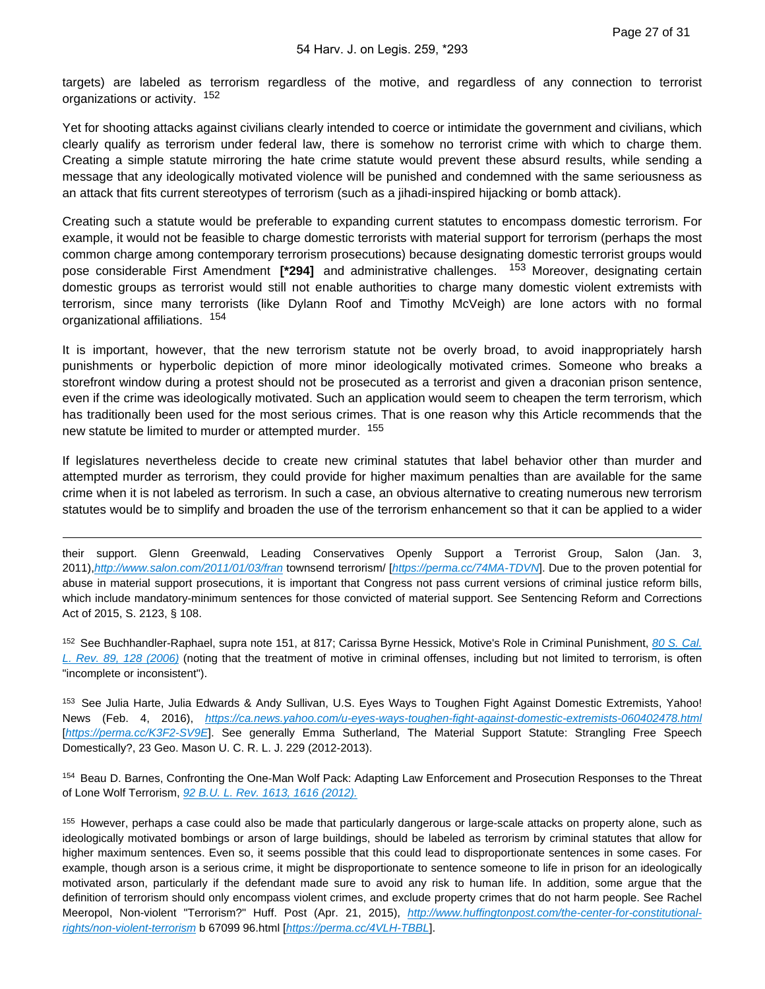targets) are labeled as terrorism regardless of the motive, and regardless of any connection to terrorist organizations or activity. <sup>152</sup>

Yet for shooting attacks against civilians clearly intended to coerce or intimidate the government and civilians, which clearly qualify as terrorism under federal law, there is somehow no terrorist crime with which to charge them. Creating a simple statute mirroring the hate crime statute would prevent these absurd results, while sending a message that any ideologically motivated violence will be punished and condemned with the same seriousness as an attack that fits current stereotypes of terrorism (such as a jihadi-inspired hijacking or bomb attack).

Creating such a statute would be preferable to expanding current statutes to encompass domestic terrorism. For example, it would not be feasible to charge domestic terrorists with material support for terrorism (perhaps the most common charge among contemporary terrorism prosecutions) because designating domestic terrorist groups would pose considerable First Amendment **[\*294]** and administrative challenges. 153 Moreover, designating certain domestic groups as terrorist would still not enable authorities to charge many domestic violent extremists with terrorism, since many terrorists (like Dylann Roof and Timothy McVeigh) are lone actors with no formal organizational affiliations. <sup>154</sup>

It is important, however, that the new terrorism statute not be overly broad, to avoid inappropriately harsh punishments or hyperbolic depiction of more minor ideologically motivated crimes. Someone who breaks a storefront window during a protest should not be prosecuted as a terrorist and given a draconian prison sentence, even if the crime was ideologically motivated. Such an application would seem to cheapen the term terrorism, which has traditionally been used for the most serious crimes. That is one reason why this Article recommends that the new statute be limited to murder or attempted murder. <sup>155</sup>

If legislatures nevertheless decide to create new criminal statutes that label behavior other than murder and attempted murder as terrorism, they could provide for higher maximum penalties than are available for the same crime when it is not labeled as terrorism. In such a case, an obvious alternative to creating numerous new terrorism statutes would be to simplify and broaden the use of the terrorism enhancement so that it can be applied to a wider

their support. Glenn Greenwald, Leading Conservatives Openly Support a Terrorist Group, Salon (Jan. 3, 2011),<http://www.salon.com/2011/01/03/fran> townsend terrorism/ [<https://perma.cc/74MA-TDVN>]. Due to the proven potential for abuse in material support prosecutions, it is important that Congress not pass current versions of criminal justice reform bills, which include mandatory-minimum sentences for those convicted of material support. See Sentencing Reform and Corrections Act of 2015, S. 2123, § 108.

152 See Buchhandler-Raphael, supra note 151, at 817; Carissa Byrne Hessick, Motive's Role in Criminal Punishment, 80 S. Cal. [L. Rev. 89, 128 \(2006\)](https://advance.lexis.com/api/document?collection=analytical-materials&id=urn:contentItem:4MRN-T260-02BM-Y07B-00000-00&context=1000516) (noting that the treatment of motive in criminal offenses, including but not limited to terrorism, is often "incomplete or inconsistent").

153 See Julia Harte, Julia Edwards & Andy Sullivan, U.S. Eyes Ways to Toughen Fight Against Domestic Extremists, Yahoo! News (Feb. 4, 2016), <https://ca.news.yahoo.com/u-eyes-ways-toughen-fight-against-domestic-extremists-060402478.html> [<https://perma.cc/K3F2-SV9E>]. See generally Emma Sutherland, The Material Support Statute: Strangling Free Speech Domestically?, 23 Geo. Mason U. C. R. L. J. 229 (2012-2013).

154 Beau D. Barnes, Confronting the One-Man Wolf Pack: Adapting Law Enforcement and Prosecution Responses to the Threat of Lone Wolf Terrorism, [92 B.U. L. Rev. 1613, 1616 \(2012\).](https://advance.lexis.com/api/document?collection=analytical-materials&id=urn:contentItem:5728-F1Y0-02BN-10B0-00000-00&context=1000516)

155 However, perhaps a case could also be made that particularly dangerous or large-scale attacks on property alone, such as ideologically motivated bombings or arson of large buildings, should be labeled as terrorism by criminal statutes that allow for higher maximum sentences. Even so, it seems possible that this could lead to disproportionate sentences in some cases. For example, though arson is a serious crime, it might be disproportionate to sentence someone to life in prison for an ideologically motivated arson, particularly if the defendant made sure to avoid any risk to human life. In addition, some argue that the definition of terrorism should only encompass violent crimes, and exclude property crimes that do not harm people. See Rachel Meeropol, Non-violent "Terrorism?" Huff. Post (Apr. 21, 2015), [http://www.huffingtonpost.com/the-center-for-constitutional](http://www.huffingtonpost.com/the-center-for-constitutional-rights/non-violent-terrorism)[rights/non-violent-terrorism](http://www.huffingtonpost.com/the-center-for-constitutional-rights/non-violent-terrorism) b 67099 96.html [<https://perma.cc/4VLH-TBBL>].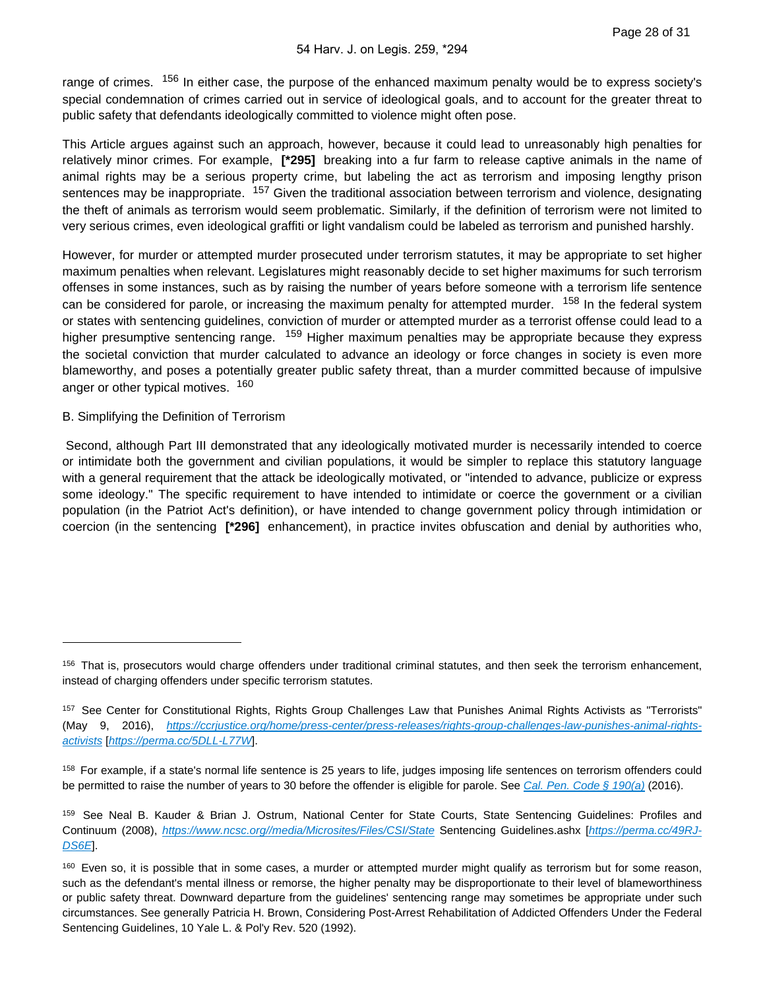range of crimes. <sup>156</sup> In either case, the purpose of the enhanced maximum penalty would be to express society's special condemnation of crimes carried out in service of ideological goals, and to account for the greater threat to public safety that defendants ideologically committed to violence might often pose.

This Article argues against such an approach, however, because it could lead to unreasonably high penalties for relatively minor crimes. For example, **[\*295]** breaking into a fur farm to release captive animals in the name of animal rights may be a serious property crime, but labeling the act as terrorism and imposing lengthy prison sentences may be inappropriate. <sup>157</sup> Given the traditional association between terrorism and violence, designating the theft of animals as terrorism would seem problematic. Similarly, if the definition of terrorism were not limited to very serious crimes, even ideological graffiti or light vandalism could be labeled as terrorism and punished harshly.

However, for murder or attempted murder prosecuted under terrorism statutes, it may be appropriate to set higher maximum penalties when relevant. Legislatures might reasonably decide to set higher maximums for such terrorism offenses in some instances, such as by raising the number of years before someone with a terrorism life sentence can be considered for parole, or increasing the maximum penalty for attempted murder. <sup>158</sup> In the federal system or states with sentencing guidelines, conviction of murder or attempted murder as a terrorist offense could lead to a higher presumptive sentencing range. <sup>159</sup> Higher maximum penalties may be appropriate because they express the societal conviction that murder calculated to advance an ideology or force changes in society is even more blameworthy, and poses a potentially greater public safety threat, than a murder committed because of impulsive anger or other typical motives. <sup>160</sup>

B. Simplifying the Definition of Terrorism

 Second, although Part III demonstrated that any ideologically motivated murder is necessarily intended to coerce or intimidate both the government and civilian populations, it would be simpler to replace this statutory language with a general requirement that the attack be ideologically motivated, or "intended to advance, publicize or express some ideology." The specific requirement to have intended to intimidate or coerce the government or a civilian population (in the Patriot Act's definition), or have intended to change government policy through intimidation or coercion (in the sentencing **[\*296]** enhancement), in practice invites obfuscation and denial by authorities who,

<sup>156</sup> That is, prosecutors would charge offenders under traditional criminal statutes, and then seek the terrorism enhancement, instead of charging offenders under specific terrorism statutes.

<sup>157</sup> See Center for Constitutional Rights, Rights Group Challenges Law that Punishes Animal Rights Activists as "Terrorists" (May 9, 2016), [https://ccrjustice.org/home/press-center/press-releases/rights-group-challenges-law-punishes-animal-rights](https://ccrjustice.org/home/press-center/press-releases/rights-group-challenges-law-punishes-animal-rights-activists)[activists](https://ccrjustice.org/home/press-center/press-releases/rights-group-challenges-law-punishes-animal-rights-activists) [<https://perma.cc/5DLL-L77W>].

<sup>158</sup> For example, if a state's normal life sentence is 25 years to life, judges imposing life sentences on terrorism offenders could be permitted to raise the number of years to 30 before the offender is eligible for parole. See [Cal. Pen. Code § 190\(a\)](https://advance.lexis.com/api/document?collection=statutes-legislation&id=urn:contentItem:5JFB-0P11-DYB7-W2SW-00000-00&context=1000516) (2016).

<sup>159</sup> See Neal B. Kauder & Brian J. Ostrum, National Center for State Courts, State Sentencing Guidelines: Profiles and Continuum (2008), <https://www.ncsc.org//media/Microsites/Files/CSI/State> Sentencing Guidelines.ashx [[https://perma.cc/49RJ-](https://perma.cc/49RJ-DS6E)[DS6E](https://perma.cc/49RJ-DS6E)].

 $160$  Even so, it is possible that in some cases, a murder or attempted murder might qualify as terrorism but for some reason, such as the defendant's mental illness or remorse, the higher penalty may be disproportionate to their level of blameworthiness or public safety threat. Downward departure from the guidelines' sentencing range may sometimes be appropriate under such circumstances. See generally Patricia H. Brown, Considering Post-Arrest Rehabilitation of Addicted Offenders Under the Federal Sentencing Guidelines, 10 Yale L. & Pol'y Rev. 520 (1992).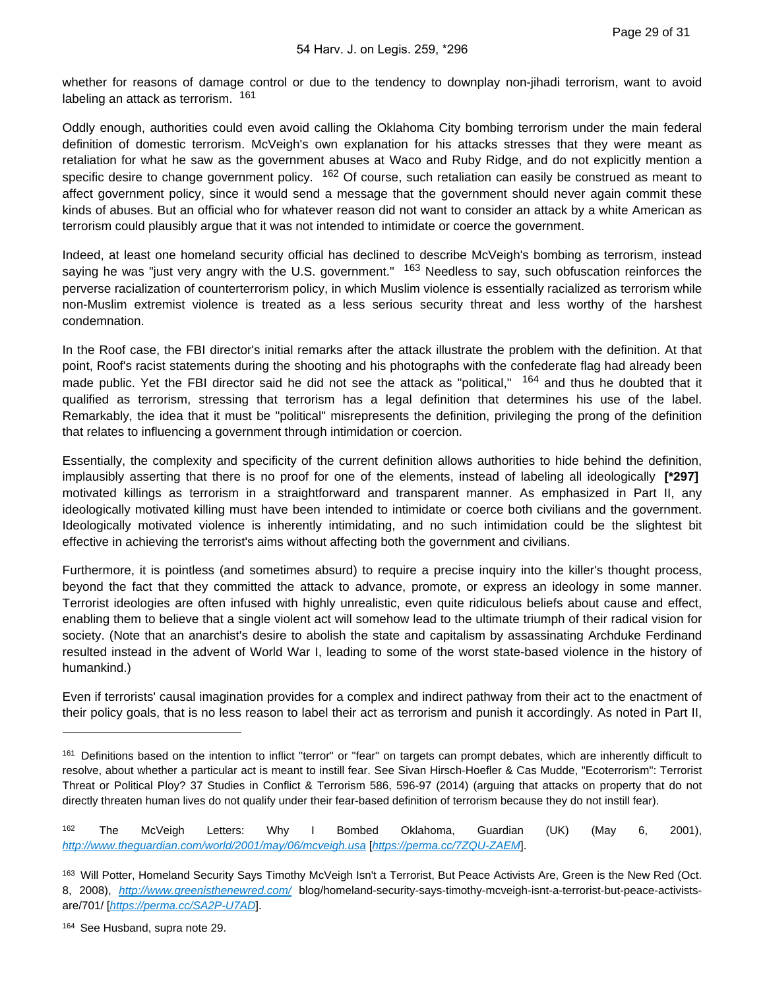whether for reasons of damage control or due to the tendency to downplay non-jihadi terrorism, want to avoid labeling an attack as terrorism. <sup>161</sup>

Oddly enough, authorities could even avoid calling the Oklahoma City bombing terrorism under the main federal definition of domestic terrorism. McVeigh's own explanation for his attacks stresses that they were meant as retaliation for what he saw as the government abuses at Waco and Ruby Ridge, and do not explicitly mention a specific desire to change government policy. <sup>162</sup> Of course, such retaliation can easily be construed as meant to affect government policy, since it would send a message that the government should never again commit these kinds of abuses. But an official who for whatever reason did not want to consider an attack by a white American as terrorism could plausibly argue that it was not intended to intimidate or coerce the government.

Indeed, at least one homeland security official has declined to describe McVeigh's bombing as terrorism, instead saying he was "just very angry with the U.S. government." <sup>163</sup> Needless to say, such obfuscation reinforces the perverse racialization of counterterrorism policy, in which Muslim violence is essentially racialized as terrorism while non-Muslim extremist violence is treated as a less serious security threat and less worthy of the harshest condemnation.

In the Roof case, the FBI director's initial remarks after the attack illustrate the problem with the definition. At that point, Roof's racist statements during the shooting and his photographs with the confederate flag had already been made public. Yet the FBI director said he did not see the attack as "political," <sup>164</sup> and thus he doubted that it qualified as terrorism, stressing that terrorism has a legal definition that determines his use of the label. Remarkably, the idea that it must be "political" misrepresents the definition, privileging the prong of the definition that relates to influencing a government through intimidation or coercion.

Essentially, the complexity and specificity of the current definition allows authorities to hide behind the definition, implausibly asserting that there is no proof for one of the elements, instead of labeling all ideologically **[\*297]**  motivated killings as terrorism in a straightforward and transparent manner. As emphasized in Part II, any ideologically motivated killing must have been intended to intimidate or coerce both civilians and the government. Ideologically motivated violence is inherently intimidating, and no such intimidation could be the slightest bit effective in achieving the terrorist's aims without affecting both the government and civilians.

Furthermore, it is pointless (and sometimes absurd) to require a precise inquiry into the killer's thought process, beyond the fact that they committed the attack to advance, promote, or express an ideology in some manner. Terrorist ideologies are often infused with highly unrealistic, even quite ridiculous beliefs about cause and effect, enabling them to believe that a single violent act will somehow lead to the ultimate triumph of their radical vision for society. (Note that an anarchist's desire to abolish the state and capitalism by assassinating Archduke Ferdinand resulted instead in the advent of World War I, leading to some of the worst state-based violence in the history of humankind.)

Even if terrorists' causal imagination provides for a complex and indirect pathway from their act to the enactment of their policy goals, that is no less reason to label their act as terrorism and punish it accordingly. As noted in Part II,

<sup>162</sup> The McVeigh Letters: Why I Bombed Oklahoma, Guardian (UK) (May 6, 2001), <http://www.theguardian.com/world/2001/may/06/mcveigh.usa> [<https://perma.cc/7ZQU-ZAEM>].

<sup>161</sup> Definitions based on the intention to inflict "terror" or "fear" on targets can prompt debates, which are inherently difficult to resolve, about whether a particular act is meant to instill fear. See Sivan Hirsch-Hoefler & Cas Mudde, "Ecoterrorism": Terrorist Threat or Political Ploy? 37 Studies in Conflict & Terrorism 586, 596-97 (2014) (arguing that attacks on property that do not directly threaten human lives do not qualify under their fear-based definition of terrorism because they do not instill fear).

<sup>163</sup> Will Potter, Homeland Security Says Timothy McVeigh Isn't a Terrorist, But Peace Activists Are, Green is the New Red (Oct. 8, 2008), <http://www.greenisthenewred.com/> blog/homeland-security-says-timothy-mcveigh-isnt-a-terrorist-but-peace-activistsare/701/ [<https://perma.cc/SA2P-U7AD>].

<sup>164</sup> See Husband, supra note 29.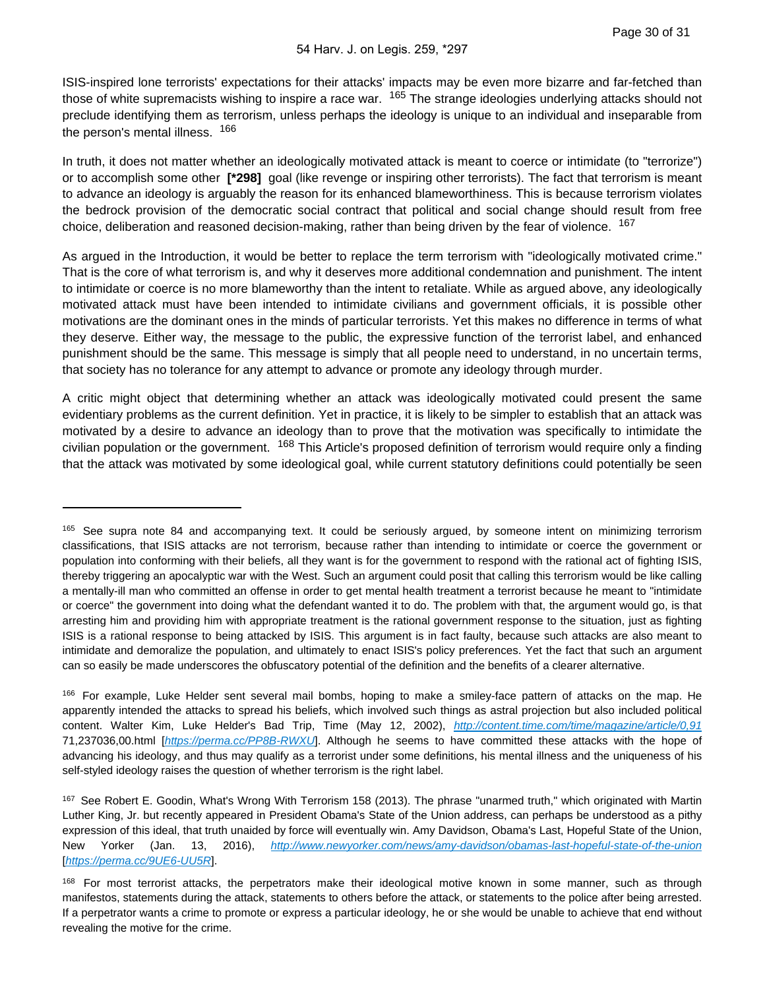ISIS-inspired lone terrorists' expectations for their attacks' impacts may be even more bizarre and far-fetched than those of white supremacists wishing to inspire a race war. <sup>165</sup> The strange ideologies underlying attacks should not preclude identifying them as terrorism, unless perhaps the ideology is unique to an individual and inseparable from the person's mental illness. 166

In truth, it does not matter whether an ideologically motivated attack is meant to coerce or intimidate (to "terrorize") or to accomplish some other **[\*298]** goal (like revenge or inspiring other terrorists). The fact that terrorism is meant to advance an ideology is arguably the reason for its enhanced blameworthiness. This is because terrorism violates the bedrock provision of the democratic social contract that political and social change should result from free choice, deliberation and reasoned decision-making, rather than being driven by the fear of violence. <sup>167</sup>

As argued in the Introduction, it would be better to replace the term terrorism with "ideologically motivated crime." That is the core of what terrorism is, and why it deserves more additional condemnation and punishment. The intent to intimidate or coerce is no more blameworthy than the intent to retaliate. While as argued above, any ideologically motivated attack must have been intended to intimidate civilians and government officials, it is possible other motivations are the dominant ones in the minds of particular terrorists. Yet this makes no difference in terms of what they deserve. Either way, the message to the public, the expressive function of the terrorist label, and enhanced punishment should be the same. This message is simply that all people need to understand, in no uncertain terms, that society has no tolerance for any attempt to advance or promote any ideology through murder.

A critic might object that determining whether an attack was ideologically motivated could present the same evidentiary problems as the current definition. Yet in practice, it is likely to be simpler to establish that an attack was motivated by a desire to advance an ideology than to prove that the motivation was specifically to intimidate the civilian population or the government. <sup>168</sup> This Article's proposed definition of terrorism would require only a finding that the attack was motivated by some ideological goal, while current statutory definitions could potentially be seen

<sup>165</sup> See supra note 84 and accompanying text. It could be seriously argued, by someone intent on minimizing terrorism classifications, that ISIS attacks are not terrorism, because rather than intending to intimidate or coerce the government or population into conforming with their beliefs, all they want is for the government to respond with the rational act of fighting ISIS, thereby triggering an apocalyptic war with the West. Such an argument could posit that calling this terrorism would be like calling a mentally-ill man who committed an offense in order to get mental health treatment a terrorist because he meant to "intimidate or coerce" the government into doing what the defendant wanted it to do. The problem with that, the argument would go, is that arresting him and providing him with appropriate treatment is the rational government response to the situation, just as fighting ISIS is a rational response to being attacked by ISIS. This argument is in fact faulty, because such attacks are also meant to intimidate and demoralize the population, and ultimately to enact ISIS's policy preferences. Yet the fact that such an argument can so easily be made underscores the obfuscatory potential of the definition and the benefits of a clearer alternative.

<sup>&</sup>lt;sup>166</sup> For example, Luke Helder sent several mail bombs, hoping to make a smiley-face pattern of attacks on the map. He apparently intended the attacks to spread his beliefs, which involved such things as astral projection but also included political content. Walter Kim, Luke Helder's Bad Trip, Time (May 12, 2002), <http://content.time.com/time/magazine/article/0,91> 71,237036,00.html [<https://perma.cc/PP8B-RWXU>]. Although he seems to have committed these attacks with the hope of advancing his ideology, and thus may qualify as a terrorist under some definitions, his mental illness and the uniqueness of his self-styled ideology raises the question of whether terrorism is the right label.

<sup>167</sup> See Robert E. Goodin, What's Wrong With Terrorism 158 (2013). The phrase "unarmed truth," which originated with Martin Luther King, Jr. but recently appeared in President Obama's State of the Union address, can perhaps be understood as a pithy expression of this ideal, that truth unaided by force will eventually win. Amy Davidson, Obama's Last, Hopeful State of the Union, New Yorker (Jan. 13, 2016), <http://www.newyorker.com/news/amy-davidson/obamas-last-hopeful-state-of-the-union> [<https://perma.cc/9UE6-UU5R>].

<sup>168</sup> For most terrorist attacks, the perpetrators make their ideological motive known in some manner, such as through manifestos, statements during the attack, statements to others before the attack, or statements to the police after being arrested. If a perpetrator wants a crime to promote or express a particular ideology, he or she would be unable to achieve that end without revealing the motive for the crime.